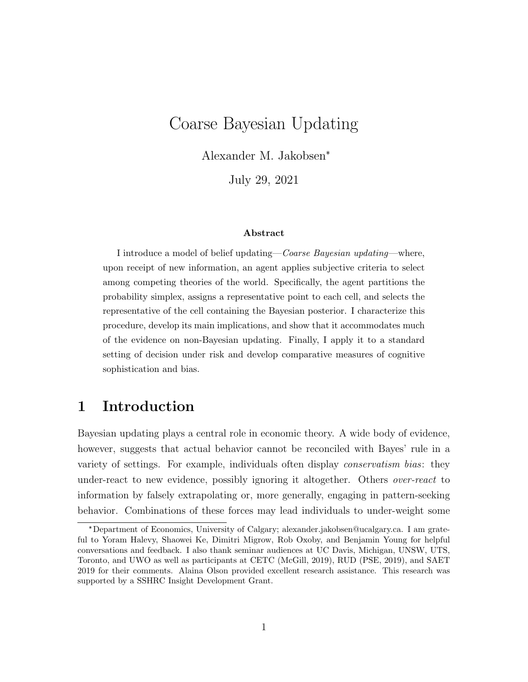# Coarse Bayesian Updating

Alexander M. Jakobsen\*

July 29, 2021

#### Abstract

I introduce a model of belief updating—Coarse Bayesian updating—where, upon receipt of new information, an agent applies subjective criteria to select among competing theories of the world. Specifically, the agent partitions the probability simplex, assigns a representative point to each cell, and selects the representative of the cell containing the Bayesian posterior. I characterize this procedure, develop its main implications, and show that it accommodates much of the evidence on non-Bayesian updating. Finally, I apply it to a standard setting of decision under risk and develop comparative measures of cognitive sophistication and bias.

## 1 Introduction

Bayesian updating plays a central role in economic theory. A wide body of evidence, however, suggests that actual behavior cannot be reconciled with Bayes' rule in a variety of settings. For example, individuals often display conservatism bias: they under-react to new evidence, possibly ignoring it altogether. Others *over-react* to information by falsely extrapolating or, more generally, engaging in pattern-seeking behavior. Combinations of these forces may lead individuals to under-weight some

<sup>\*</sup>Department of Economics, University of Calgary; alexander.jakobsen@ucalgary.ca. I am grateful to Yoram Halevy, Shaowei Ke, Dimitri Migrow, Rob Oxoby, and Benjamin Young for helpful conversations and feedback. I also thank seminar audiences at UC Davis, Michigan, UNSW, UTS, Toronto, and UWO as well as participants at CETC (McGill, 2019), RUD (PSE, 2019), and SAET 2019 for their comments. Alaina Olson provided excellent research assistance. This research was supported by a SSHRC Insight Development Grant.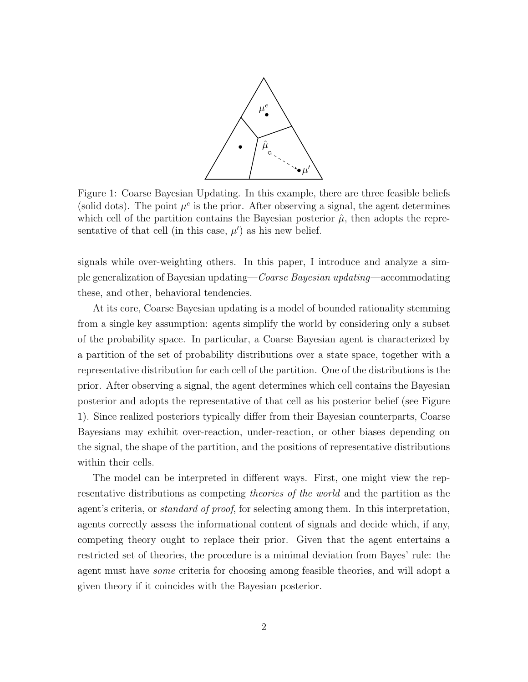

Figure 1: Coarse Bayesian Updating. In this example, there are three feasible beliefs (solid dots). The point  $\mu^e$  is the prior. After observing a signal, the agent determines which cell of the partition contains the Bayesian posterior  $\hat{\mu}$ , then adopts the representative of that cell (in this case,  $\mu'$ ) as his new belief.

signals while over-weighting others. In this paper, I introduce and analyze a simple generalization of Bayesian updating—Coarse Bayesian updating—accommodating these, and other, behavioral tendencies.

At its core, Coarse Bayesian updating is a model of bounded rationality stemming from a single key assumption: agents simplify the world by considering only a subset of the probability space. In particular, a Coarse Bayesian agent is characterized by a partition of the set of probability distributions over a state space, together with a representative distribution for each cell of the partition. One of the distributions is the prior. After observing a signal, the agent determines which cell contains the Bayesian posterior and adopts the representative of that cell as his posterior belief (see Figure 1). Since realized posteriors typically differ from their Bayesian counterparts, Coarse Bayesians may exhibit over-reaction, under-reaction, or other biases depending on the signal, the shape of the partition, and the positions of representative distributions within their cells.

The model can be interpreted in different ways. First, one might view the representative distributions as competing *theories of the world* and the partition as the agent's criteria, or *standard of proof*, for selecting among them. In this interpretation, agents correctly assess the informational content of signals and decide which, if any, competing theory ought to replace their prior. Given that the agent entertains a restricted set of theories, the procedure is a minimal deviation from Bayes' rule: the agent must have some criteria for choosing among feasible theories, and will adopt a given theory if it coincides with the Bayesian posterior.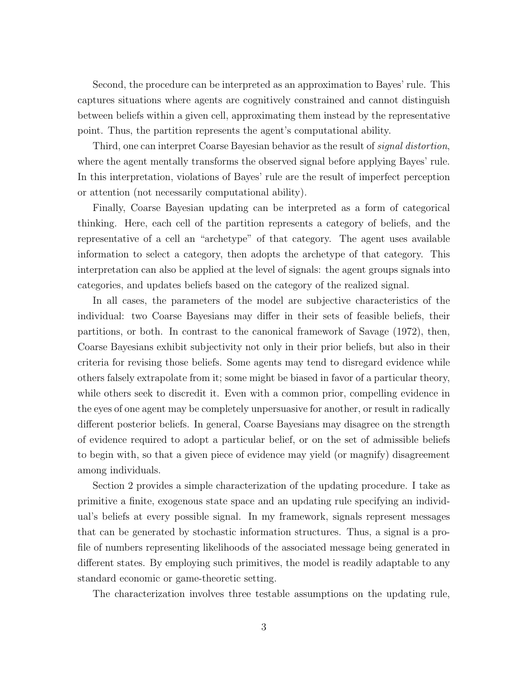Second, the procedure can be interpreted as an approximation to Bayes' rule. This captures situations where agents are cognitively constrained and cannot distinguish between beliefs within a given cell, approximating them instead by the representative point. Thus, the partition represents the agent's computational ability.

Third, one can interpret Coarse Bayesian behavior as the result of *signal distortion*, where the agent mentally transforms the observed signal before applying Bayes' rule. In this interpretation, violations of Bayes' rule are the result of imperfect perception or attention (not necessarily computational ability).

Finally, Coarse Bayesian updating can be interpreted as a form of categorical thinking. Here, each cell of the partition represents a category of beliefs, and the representative of a cell an "archetype" of that category. The agent uses available information to select a category, then adopts the archetype of that category. This interpretation can also be applied at the level of signals: the agent groups signals into categories, and updates beliefs based on the category of the realized signal.

In all cases, the parameters of the model are subjective characteristics of the individual: two Coarse Bayesians may differ in their sets of feasible beliefs, their partitions, or both. In contrast to the canonical framework of Savage (1972), then, Coarse Bayesians exhibit subjectivity not only in their prior beliefs, but also in their criteria for revising those beliefs. Some agents may tend to disregard evidence while others falsely extrapolate from it; some might be biased in favor of a particular theory, while others seek to discredit it. Even with a common prior, compelling evidence in the eyes of one agent may be completely unpersuasive for another, or result in radically different posterior beliefs. In general, Coarse Bayesians may disagree on the strength of evidence required to adopt a particular belief, or on the set of admissible beliefs to begin with, so that a given piece of evidence may yield (or magnify) disagreement among individuals.

Section 2 provides a simple characterization of the updating procedure. I take as primitive a finite, exogenous state space and an updating rule specifying an individual's beliefs at every possible signal. In my framework, signals represent messages that can be generated by stochastic information structures. Thus, a signal is a profile of numbers representing likelihoods of the associated message being generated in different states. By employing such primitives, the model is readily adaptable to any standard economic or game-theoretic setting.

The characterization involves three testable assumptions on the updating rule,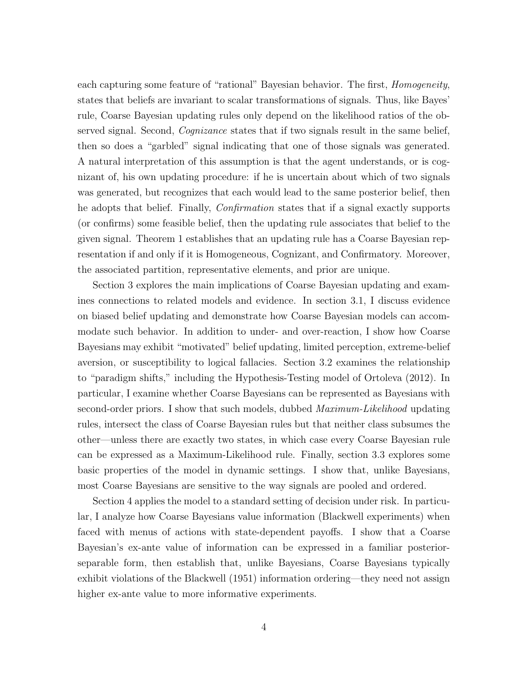each capturing some feature of "rational" Bayesian behavior. The first, *Homogeneity*, states that beliefs are invariant to scalar transformations of signals. Thus, like Bayes' rule, Coarse Bayesian updating rules only depend on the likelihood ratios of the observed signal. Second, *Cognizance* states that if two signals result in the same belief, then so does a "garbled" signal indicating that one of those signals was generated. A natural interpretation of this assumption is that the agent understands, or is cognizant of, his own updating procedure: if he is uncertain about which of two signals was generated, but recognizes that each would lead to the same posterior belief, then he adopts that belief. Finally, *Confirmation* states that if a signal exactly supports (or confirms) some feasible belief, then the updating rule associates that belief to the given signal. Theorem 1 establishes that an updating rule has a Coarse Bayesian representation if and only if it is Homogeneous, Cognizant, and Confirmatory. Moreover, the associated partition, representative elements, and prior are unique.

Section 3 explores the main implications of Coarse Bayesian updating and examines connections to related models and evidence. In section 3.1, I discuss evidence on biased belief updating and demonstrate how Coarse Bayesian models can accommodate such behavior. In addition to under- and over-reaction, I show how Coarse Bayesians may exhibit "motivated" belief updating, limited perception, extreme-belief aversion, or susceptibility to logical fallacies. Section 3.2 examines the relationship to "paradigm shifts," including the Hypothesis-Testing model of Ortoleva (2012). In particular, I examine whether Coarse Bayesians can be represented as Bayesians with second-order priors. I show that such models, dubbed *Maximum-Likelihood* updating rules, intersect the class of Coarse Bayesian rules but that neither class subsumes the other—unless there are exactly two states, in which case every Coarse Bayesian rule can be expressed as a Maximum-Likelihood rule. Finally, section 3.3 explores some basic properties of the model in dynamic settings. I show that, unlike Bayesians, most Coarse Bayesians are sensitive to the way signals are pooled and ordered.

Section 4 applies the model to a standard setting of decision under risk. In particular, I analyze how Coarse Bayesians value information (Blackwell experiments) when faced with menus of actions with state-dependent payoffs. I show that a Coarse Bayesian's ex-ante value of information can be expressed in a familiar posteriorseparable form, then establish that, unlike Bayesians, Coarse Bayesians typically exhibit violations of the Blackwell (1951) information ordering—they need not assign higher ex-ante value to more informative experiments.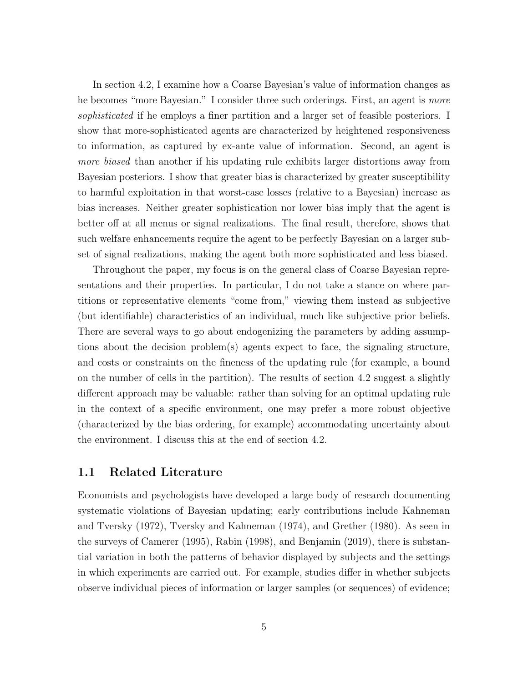In section 4.2, I examine how a Coarse Bayesian's value of information changes as he becomes "more Bayesian." I consider three such orderings. First, an agent is more sophisticated if he employs a finer partition and a larger set of feasible posteriors. I show that more-sophisticated agents are characterized by heightened responsiveness to information, as captured by ex-ante value of information. Second, an agent is more biased than another if his updating rule exhibits larger distortions away from Bayesian posteriors. I show that greater bias is characterized by greater susceptibility to harmful exploitation in that worst-case losses (relative to a Bayesian) increase as bias increases. Neither greater sophistication nor lower bias imply that the agent is better off at all menus or signal realizations. The final result, therefore, shows that such welfare enhancements require the agent to be perfectly Bayesian on a larger subset of signal realizations, making the agent both more sophisticated and less biased.

Throughout the paper, my focus is on the general class of Coarse Bayesian representations and their properties. In particular, I do not take a stance on where partitions or representative elements "come from," viewing them instead as subjective (but identifiable) characteristics of an individual, much like subjective prior beliefs. There are several ways to go about endogenizing the parameters by adding assumptions about the decision problem(s) agents expect to face, the signaling structure, and costs or constraints on the fineness of the updating rule (for example, a bound on the number of cells in the partition). The results of section 4.2 suggest a slightly different approach may be valuable: rather than solving for an optimal updating rule in the context of a specific environment, one may prefer a more robust objective (characterized by the bias ordering, for example) accommodating uncertainty about the environment. I discuss this at the end of section 4.2.

### 1.1 Related Literature

Economists and psychologists have developed a large body of research documenting systematic violations of Bayesian updating; early contributions include Kahneman and Tversky (1972), Tversky and Kahneman (1974), and Grether (1980). As seen in the surveys of Camerer (1995), Rabin (1998), and Benjamin (2019), there is substantial variation in both the patterns of behavior displayed by subjects and the settings in which experiments are carried out. For example, studies differ in whether subjects observe individual pieces of information or larger samples (or sequences) of evidence;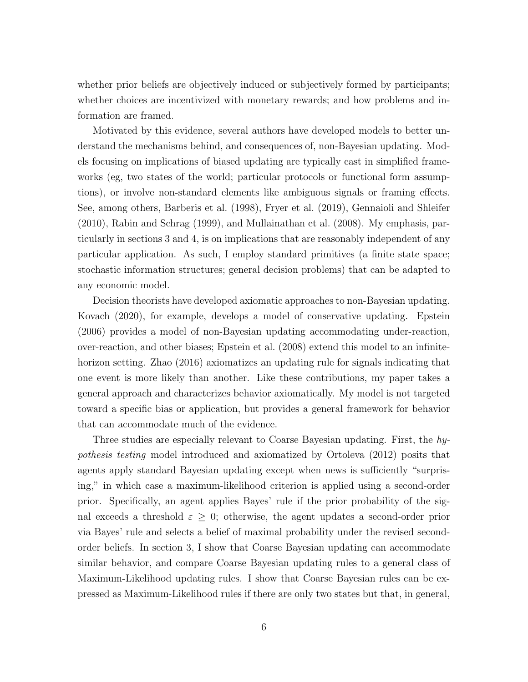whether prior beliefs are objectively induced or subjectively formed by participants; whether choices are incentivized with monetary rewards; and how problems and information are framed.

Motivated by this evidence, several authors have developed models to better understand the mechanisms behind, and consequences of, non-Bayesian updating. Models focusing on implications of biased updating are typically cast in simplified frameworks (eg, two states of the world; particular protocols or functional form assumptions), or involve non-standard elements like ambiguous signals or framing effects. See, among others, Barberis et al. (1998), Fryer et al. (2019), Gennaioli and Shleifer (2010), Rabin and Schrag (1999), and Mullainathan et al. (2008). My emphasis, particularly in sections 3 and 4, is on implications that are reasonably independent of any particular application. As such, I employ standard primitives (a finite state space; stochastic information structures; general decision problems) that can be adapted to any economic model.

Decision theorists have developed axiomatic approaches to non-Bayesian updating. Kovach (2020), for example, develops a model of conservative updating. Epstein (2006) provides a model of non-Bayesian updating accommodating under-reaction, over-reaction, and other biases; Epstein et al. (2008) extend this model to an infinitehorizon setting. Zhao (2016) axiomatizes an updating rule for signals indicating that one event is more likely than another. Like these contributions, my paper takes a general approach and characterizes behavior axiomatically. My model is not targeted toward a specific bias or application, but provides a general framework for behavior that can accommodate much of the evidence.

Three studies are especially relevant to Coarse Bayesian updating. First, the hypothesis testing model introduced and axiomatized by Ortoleva (2012) posits that agents apply standard Bayesian updating except when news is sufficiently "surprising," in which case a maximum-likelihood criterion is applied using a second-order prior. Specifically, an agent applies Bayes' rule if the prior probability of the signal exceeds a threshold  $\varepsilon \geq 0$ ; otherwise, the agent updates a second-order prior via Bayes' rule and selects a belief of maximal probability under the revised secondorder beliefs. In section 3, I show that Coarse Bayesian updating can accommodate similar behavior, and compare Coarse Bayesian updating rules to a general class of Maximum-Likelihood updating rules. I show that Coarse Bayesian rules can be expressed as Maximum-Likelihood rules if there are only two states but that, in general,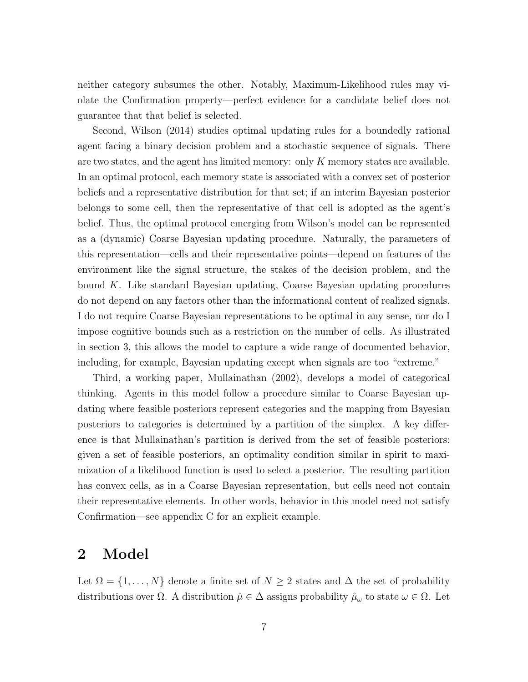neither category subsumes the other. Notably, Maximum-Likelihood rules may violate the Confirmation property—perfect evidence for a candidate belief does not guarantee that that belief is selected.

Second, Wilson (2014) studies optimal updating rules for a boundedly rational agent facing a binary decision problem and a stochastic sequence of signals. There are two states, and the agent has limited memory: only  $K$  memory states are available. In an optimal protocol, each memory state is associated with a convex set of posterior beliefs and a representative distribution for that set; if an interim Bayesian posterior belongs to some cell, then the representative of that cell is adopted as the agent's belief. Thus, the optimal protocol emerging from Wilson's model can be represented as a (dynamic) Coarse Bayesian updating procedure. Naturally, the parameters of this representation—cells and their representative points—depend on features of the environment like the signal structure, the stakes of the decision problem, and the bound K. Like standard Bayesian updating, Coarse Bayesian updating procedures do not depend on any factors other than the informational content of realized signals. I do not require Coarse Bayesian representations to be optimal in any sense, nor do I impose cognitive bounds such as a restriction on the number of cells. As illustrated in section 3, this allows the model to capture a wide range of documented behavior, including, for example, Bayesian updating except when signals are too "extreme."

Third, a working paper, Mullainathan (2002), develops a model of categorical thinking. Agents in this model follow a procedure similar to Coarse Bayesian updating where feasible posteriors represent categories and the mapping from Bayesian posteriors to categories is determined by a partition of the simplex. A key difference is that Mullainathan's partition is derived from the set of feasible posteriors: given a set of feasible posteriors, an optimality condition similar in spirit to maximization of a likelihood function is used to select a posterior. The resulting partition has convex cells, as in a Coarse Bayesian representation, but cells need not contain their representative elements. In other words, behavior in this model need not satisfy Confirmation—see appendix C for an explicit example.

## 2 Model

Let  $\Omega = \{1, \ldots, N\}$  denote a finite set of  $N \geq 2$  states and  $\Delta$  the set of probability distributions over  $\Omega$ . A distribution  $\hat{\mu} \in \Delta$  assigns probability  $\hat{\mu}_{\omega}$  to state  $\omega \in \Omega$ . Let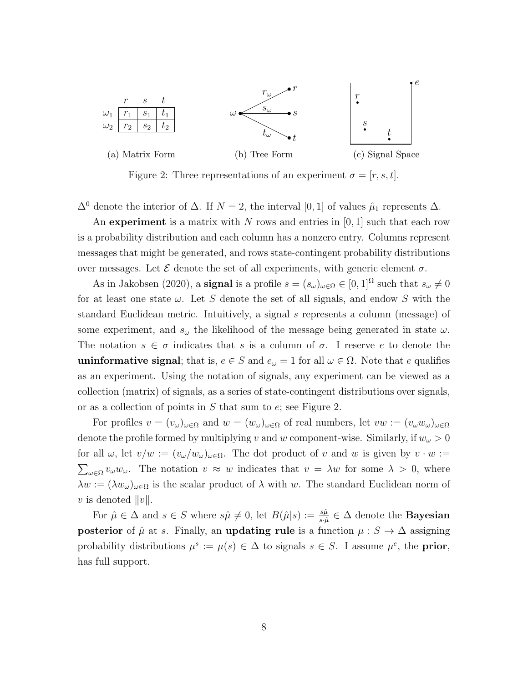

Figure 2: Three representations of an experiment  $\sigma = [r, s, t]$ .

 $\Delta^0$  denote the interior of  $\Delta$ . If  $N = 2$ , the interval [0, 1] of values  $\hat{\mu}_1$  represents  $\Delta$ .

An experiment is a matrix with N rows and entries in  $[0, 1]$  such that each row is a probability distribution and each column has a nonzero entry. Columns represent messages that might be generated, and rows state-contingent probability distributions over messages. Let  $\mathcal E$  denote the set of all experiments, with generic element  $\sigma$ .

As in Jakobsen (2020), a **signal** is a profile  $s = (s_{\omega})_{\omega \in \Omega} \in [0,1]^{\Omega}$  such that  $s_{\omega} \neq 0$ for at least one state  $\omega$ . Let S denote the set of all signals, and endow S with the standard Euclidean metric. Intuitively, a signal s represents a column (message) of some experiment, and  $s_{\omega}$  the likelihood of the message being generated in state  $\omega$ . The notation  $s \in \sigma$  indicates that s is a column of  $\sigma$ . I reserve e to denote the uninformative signal; that is,  $e \in S$  and  $e_{\omega} = 1$  for all  $\omega \in \Omega$ . Note that e qualifies as an experiment. Using the notation of signals, any experiment can be viewed as a collection (matrix) of signals, as a series of state-contingent distributions over signals, or as a collection of points in S that sum to e; see Figure 2.

For profiles  $v = (v_\omega)_{\omega \in \Omega}$  and  $w = (w_\omega)_{\omega \in \Omega}$  of real numbers, let  $vw := (v_\omega w_\omega)_{\omega \in \Omega}$ denote the profile formed by multiplying v and w component-wise. Similarly, if  $w_\omega > 0$ for all  $\omega$ , let  $v/w := (v_\omega/w_\omega)_{\omega \in \Omega}$ . The dot product of v and w is given by  $v \cdot w :=$  $\sum_{\omega \in \Omega} v_{\omega} w_{\omega}$ . The notation  $v \approx w$  indicates that  $v = \lambda w$  for some  $\lambda > 0$ , where  $\lambda w := (\lambda w_{\omega})_{\omega \in \Omega}$  is the scalar product of  $\lambda$  with w. The standard Euclidean norm of v is denoted  $||v||$ .

For  $\hat{\mu} \in \Delta$  and  $s \in S$  where  $s\hat{\mu} \neq 0$ , let  $B(\hat{\mu}|s) := \frac{s\hat{\mu}}{s \cdot \hat{\mu}} \in \Delta$  denote the **Bayesian** posterior of  $\hat{\mu}$  at s. Finally, an updating rule is a function  $\mu : S \to \Delta$  assigning probability distributions  $\mu^s := \mu(s) \in \Delta$  to signals  $s \in S$ . I assume  $\mu^e$ , the **prior**, has full support.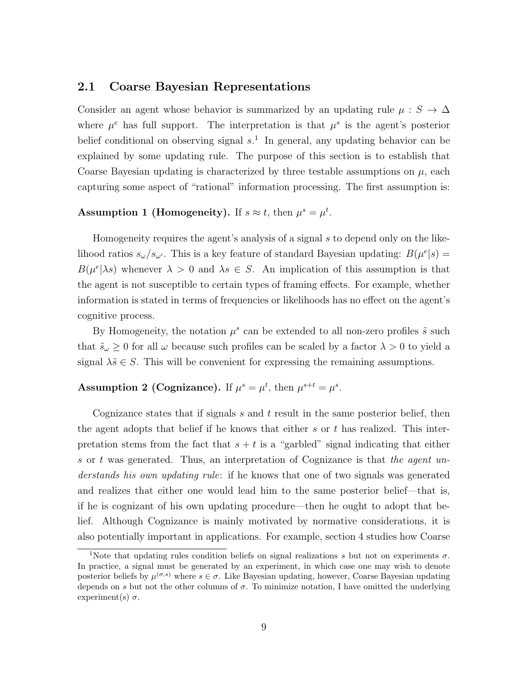#### 2.1 Coarse Bayesian Representations

Consider an agent whose behavior is summarized by an updating rule  $\mu : S \to \Delta$ where  $\mu^e$  has full support. The interpretation is that  $\mu^s$  is the agent's posterior belief conditional on observing signal  $s<sup>1</sup>$ . In general, any updating behavior can be explained by some updating rule. The purpose of this section is to establish that Coarse Bayesian updating is characterized by three testable assumptions on  $\mu$ , each capturing some aspect of "rational" information processing. The first assumption is:

#### Assumption 1 (Homogeneity). If  $s \approx t$ , then  $\mu^s = \mu^t$ .

Homogeneity requires the agent's analysis of a signal  $s$  to depend only on the likelihood ratios  $s_{\omega}/s_{\omega'}$ . This is a key feature of standard Bayesian updating:  $B(\mu^{e}|s) =$  $B(\mu^e|\lambda s)$  whenever  $\lambda > 0$  and  $\lambda s \in S$ . An implication of this assumption is that the agent is not susceptible to certain types of framing effects. For example, whether information is stated in terms of frequencies or likelihoods has no effect on the agent's cognitive process.

By Homogeneity, the notation  $\mu^s$  can be extended to all non-zero profiles  $\tilde{s}$  such that  $\tilde{s}_{\omega} \geq 0$  for all  $\omega$  because such profiles can be scaled by a factor  $\lambda > 0$  to yield a signal  $\lambda \tilde{s} \in S$ . This will be convenient for expressing the remaining assumptions.

### Assumption 2 (Cognizance). If  $\mu^s = \mu^t$ , then  $\mu^{s+t} = \mu^s$ .

Cognizance states that if signals  $s$  and  $t$  result in the same posterior belief, then the agent adopts that belief if he knows that either s or t has realized. This interpretation stems from the fact that  $s + t$  is a "garbled" signal indicating that either s or t was generated. Thus, an interpretation of Cognizance is that the agent understands his own updating rule: if he knows that one of two signals was generated and realizes that either one would lead him to the same posterior belief—that is, if he is cognizant of his own updating procedure—then he ought to adopt that belief. Although Cognizance is mainly motivated by normative considerations, it is also potentially important in applications. For example, section 4 studies how Coarse

<sup>&</sup>lt;sup>1</sup>Note that updating rules condition beliefs on signal realizations s but not on experiments  $\sigma$ . In practice, a signal must be generated by an experiment, in which case one may wish to denote posterior beliefs by  $\mu^{(\sigma,s)}$  where  $s \in \sigma$ . Like Bayesian updating, however, Coarse Bayesian updating depends on s but not the other columns of  $\sigma$ . To minimize notation, I have omitted the underlying experiment(s)  $\sigma$ .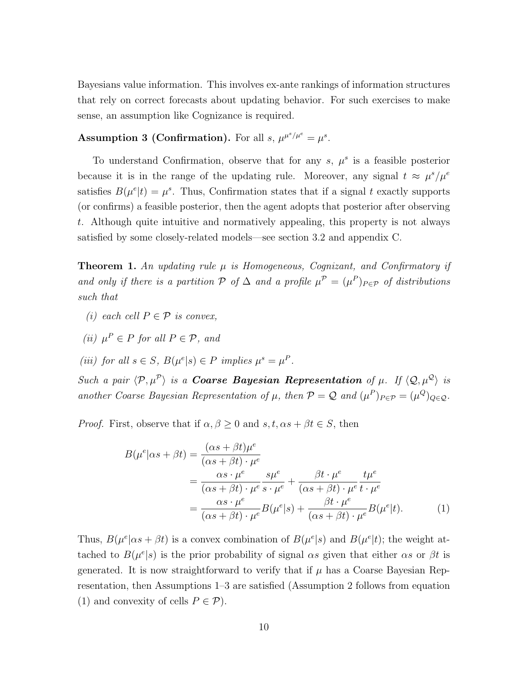Bayesians value information. This involves ex-ante rankings of information structures that rely on correct forecasts about updating behavior. For such exercises to make sense, an assumption like Cognizance is required.

### **Assumption 3 (Confirmation).** For all  $s, \mu^{\mu^s/\mu^e} = \mu^s$ .

To understand Confirmation, observe that for any  $s, \mu^s$  is a feasible posterior because it is in the range of the updating rule. Moreover, any signal  $t \approx \mu^s/\mu^e$ satisfies  $B(\mu^e|t) = \mu^s$ . Thus, Confirmation states that if a signal t exactly supports (or confirms) a feasible posterior, then the agent adopts that posterior after observing t. Although quite intuitive and normatively appealing, this property is not always satisfied by some closely-related models—see section 3.2 and appendix C.

**Theorem 1.** An updating rule  $\mu$  is Homogeneous, Cognizant, and Confirmatory if and only if there is a partition P of  $\Delta$  and a profile  $\mu^P = (\mu^P)_{P \in \mathcal{P}}$  of distributions such that

- (i) each cell  $P \in \mathcal{P}$  is convex,
- (ii)  $\mu^P \in P$  for all  $P \in \mathcal{P}$ , and
- (iii) for all  $s \in S$ ,  $B(\mu^{e}|s) \in P$  implies  $\mu^{s} = \mu^{P}$ .

Such a pair  $\langle \mathcal{P}, \mu^{\mathcal{P}} \rangle$  is a **Coarse Bayesian Representation** of  $\mu$ . If  $\langle \mathcal{Q}, \mu^{\mathcal{Q}} \rangle$  is another Coarse Bayesian Representation of  $\mu$ , then  $\mathcal{P} = \mathcal{Q}$  and  $(\mu^P)_{P \in \mathcal{P}} = (\mu^Q)_{Q \in \mathcal{Q}}$ .

*Proof.* First, observe that if  $\alpha, \beta \geq 0$  and  $s, t, \alpha s + \beta t \in S$ , then

$$
B(\mu^{e}|\alpha s + \beta t) = \frac{(\alpha s + \beta t)\mu^{e}}{(\alpha s + \beta t) \cdot \mu^{e}}
$$
  
= 
$$
\frac{\alpha s \cdot \mu^{e}}{(\alpha s + \beta t) \cdot \mu^{e}} \frac{s\mu^{e}}{s \cdot \mu^{e}} + \frac{\beta t \cdot \mu^{e}}{(\alpha s + \beta t) \cdot \mu^{e}} \frac{t\mu^{e}}{t \cdot \mu^{e}}
$$
  
= 
$$
\frac{\alpha s \cdot \mu^{e}}{(\alpha s + \beta t) \cdot \mu^{e}} B(\mu^{e}|s) + \frac{\beta t \cdot \mu^{e}}{(\alpha s + \beta t) \cdot \mu^{e}} B(\mu^{e}|t). \tag{1}
$$

Thus,  $B(\mu^e|\alpha s + \beta t)$  is a convex combination of  $B(\mu^e|s)$  and  $B(\mu^e|t)$ ; the weight attached to  $B(\mu^{e}|s)$  is the prior probability of signal  $\alpha s$  given that either  $\alpha s$  or  $\beta t$  is generated. It is now straightforward to verify that if  $\mu$  has a Coarse Bayesian Representation, then Assumptions 1–3 are satisfied (Assumption 2 follows from equation (1) and convexity of cells  $P \in \mathcal{P}$ ).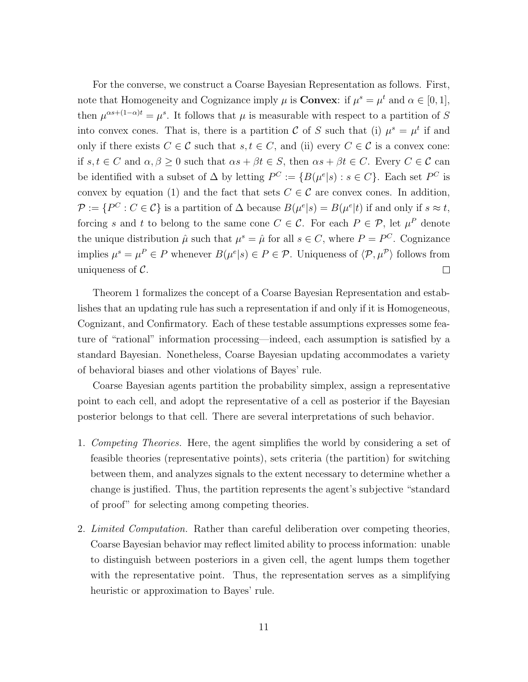For the converse, we construct a Coarse Bayesian Representation as follows. First, note that Homogeneity and Cognizance imply  $\mu$  is **Convex**: if  $\mu^s = \mu^t$  and  $\alpha \in [0, 1]$ , then  $\mu^{\alpha s + (1-\alpha)t} = \mu^s$ . It follows that  $\mu$  is measurable with respect to a partition of S into convex cones. That is, there is a partition C of S such that (i)  $\mu^s = \mu^t$  if and only if there exists  $C \in \mathcal{C}$  such that  $s, t \in C$ , and (ii) every  $C \in \mathcal{C}$  is a convex cone: if  $s, t \in C$  and  $\alpha, \beta \geq 0$  such that  $\alpha s + \beta t \in S$ , then  $\alpha s + \beta t \in C$ . Every  $C \in \mathcal{C}$  can be identified with a subset of  $\Delta$  by letting  $P^C := \{B(\mu^e|s) : s \in C\}$ . Each set  $P^C$  is convex by equation (1) and the fact that sets  $C \in \mathcal{C}$  are convex cones. In addition,  $\mathcal{P} := \{P^C : C \in \mathcal{C}\}\$ is a partition of  $\Delta$  because  $B(\mu^e|s) = B(\mu^e|t)$  if and only if  $s \approx t$ , forcing s and t to belong to the same cone  $C \in \mathcal{C}$ . For each  $P \in \mathcal{P}$ , let  $\mu^P$  denote the unique distribution  $\hat{\mu}$  such that  $\mu^s = \hat{\mu}$  for all  $s \in C$ , where  $P = P^C$ . Cognizance implies  $\mu^s = \mu^P \in P$  whenever  $B(\mu^e | s) \in P \in \mathcal{P}$ . Uniqueness of  $\langle \mathcal{P}, \mu^P \rangle$  follows from uniqueness of  $\mathcal{C}$ .  $\Box$ 

Theorem 1 formalizes the concept of a Coarse Bayesian Representation and establishes that an updating rule has such a representation if and only if it is Homogeneous, Cognizant, and Confirmatory. Each of these testable assumptions expresses some feature of "rational" information processing—indeed, each assumption is satisfied by a standard Bayesian. Nonetheless, Coarse Bayesian updating accommodates a variety of behavioral biases and other violations of Bayes' rule.

Coarse Bayesian agents partition the probability simplex, assign a representative point to each cell, and adopt the representative of a cell as posterior if the Bayesian posterior belongs to that cell. There are several interpretations of such behavior.

- 1. Competing Theories. Here, the agent simplifies the world by considering a set of feasible theories (representative points), sets criteria (the partition) for switching between them, and analyzes signals to the extent necessary to determine whether a change is justified. Thus, the partition represents the agent's subjective "standard of proof" for selecting among competing theories.
- 2. Limited Computation. Rather than careful deliberation over competing theories, Coarse Bayesian behavior may reflect limited ability to process information: unable to distinguish between posteriors in a given cell, the agent lumps them together with the representative point. Thus, the representation serves as a simplifying heuristic or approximation to Bayes' rule.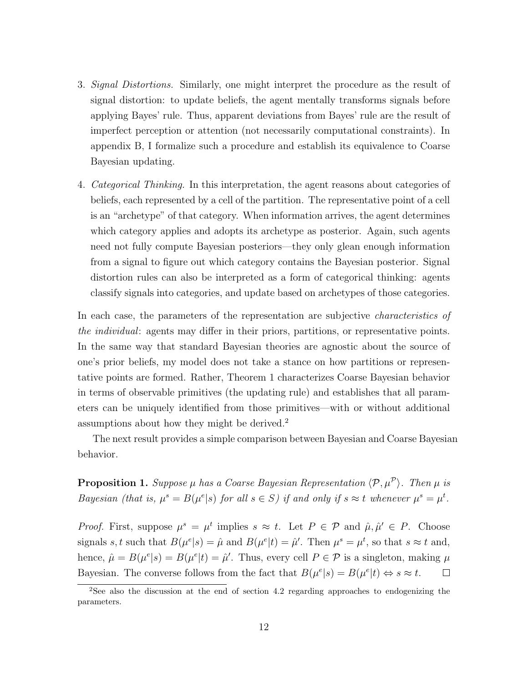- 3. Signal Distortions. Similarly, one might interpret the procedure as the result of signal distortion: to update beliefs, the agent mentally transforms signals before applying Bayes' rule. Thus, apparent deviations from Bayes' rule are the result of imperfect perception or attention (not necessarily computational constraints). In appendix B, I formalize such a procedure and establish its equivalence to Coarse Bayesian updating.
- 4. Categorical Thinking. In this interpretation, the agent reasons about categories of beliefs, each represented by a cell of the partition. The representative point of a cell is an "archetype" of that category. When information arrives, the agent determines which category applies and adopts its archetype as posterior. Again, such agents need not fully compute Bayesian posteriors—they only glean enough information from a signal to figure out which category contains the Bayesian posterior. Signal distortion rules can also be interpreted as a form of categorical thinking: agents classify signals into categories, and update based on archetypes of those categories.

In each case, the parameters of the representation are subjective *characteristics of* the individual: agents may differ in their priors, partitions, or representative points. In the same way that standard Bayesian theories are agnostic about the source of one's prior beliefs, my model does not take a stance on how partitions or representative points are formed. Rather, Theorem 1 characterizes Coarse Bayesian behavior in terms of observable primitives (the updating rule) and establishes that all parameters can be uniquely identified from those primitives—with or without additional assumptions about how they might be derived.<sup>2</sup>

The next result provides a simple comparison between Bayesian and Coarse Bayesian behavior.

**Proposition 1.** Suppose  $\mu$  has a Coarse Bayesian Representation  $\langle \mathcal{P}, \mu^{\mathcal{P}} \rangle$ . Then  $\mu$  is Bayesian (that is,  $\mu^s = B(\mu^e \mid s)$  for all  $s \in S$ ) if and only if  $s \approx t$  whenever  $\mu^s = \mu^t$ .

*Proof.* First, suppose  $\mu^s = \mu^t$  implies  $s \approx t$ . Let  $P \in \mathcal{P}$  and  $\hat{\mu}, \hat{\mu}' \in P$ . Choose signals s, t such that  $B(\mu^{e}|s) = \hat{\mu}$  and  $B(\mu^{e}|t) = \hat{\mu}'$ . Then  $\mu^{s} = \mu^{t}$ , so that  $s \approx t$  and, hence,  $\hat{\mu} = B(\mu^e | s) = B(\mu^e | t) = \hat{\mu}'$ . Thus, every cell  $P \in \mathcal{P}$  is a singleton, making  $\mu$ Bayesian. The converse follows from the fact that  $B(\mu^{e}|s) = B(\mu^{e}|t) \Leftrightarrow s \approx t$ .  $\Box$ 

<sup>2</sup>See also the discussion at the end of section 4.2 regarding approaches to endogenizing the parameters.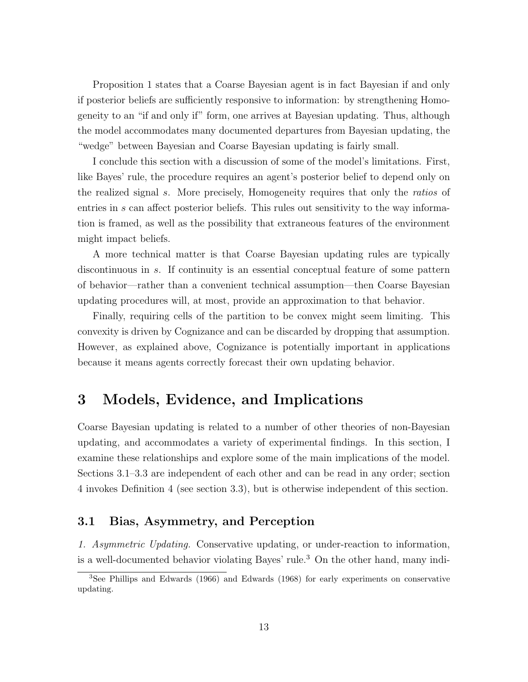Proposition 1 states that a Coarse Bayesian agent is in fact Bayesian if and only if posterior beliefs are sufficiently responsive to information: by strengthening Homogeneity to an "if and only if" form, one arrives at Bayesian updating. Thus, although the model accommodates many documented departures from Bayesian updating, the "wedge" between Bayesian and Coarse Bayesian updating is fairly small.

I conclude this section with a discussion of some of the model's limitations. First, like Bayes' rule, the procedure requires an agent's posterior belief to depend only on the realized signal s. More precisely, Homogeneity requires that only the ratios of entries in s can affect posterior beliefs. This rules out sensitivity to the way information is framed, as well as the possibility that extraneous features of the environment might impact beliefs.

A more technical matter is that Coarse Bayesian updating rules are typically discontinuous in s. If continuity is an essential conceptual feature of some pattern of behavior—rather than a convenient technical assumption—then Coarse Bayesian updating procedures will, at most, provide an approximation to that behavior.

Finally, requiring cells of the partition to be convex might seem limiting. This convexity is driven by Cognizance and can be discarded by dropping that assumption. However, as explained above, Cognizance is potentially important in applications because it means agents correctly forecast their own updating behavior.

## 3 Models, Evidence, and Implications

Coarse Bayesian updating is related to a number of other theories of non-Bayesian updating, and accommodates a variety of experimental findings. In this section, I examine these relationships and explore some of the main implications of the model. Sections 3.1–3.3 are independent of each other and can be read in any order; section 4 invokes Definition 4 (see section 3.3), but is otherwise independent of this section.

### 3.1 Bias, Asymmetry, and Perception

1. Asymmetric Updating. Conservative updating, or under-reaction to information, is a well-documented behavior violating Bayes' rule.<sup>3</sup> On the other hand, many indi-

<sup>3</sup>See Phillips and Edwards (1966) and Edwards (1968) for early experiments on conservative updating.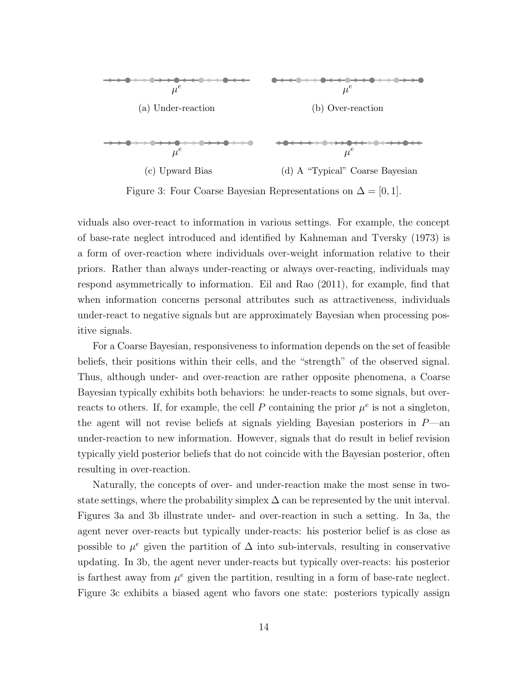

Figure 3: Four Coarse Bayesian Representations on  $\Delta = [0, 1]$ .

viduals also over-react to information in various settings. For example, the concept of base-rate neglect introduced and identified by Kahneman and Tversky (1973) is a form of over-reaction where individuals over-weight information relative to their priors. Rather than always under-reacting or always over-reacting, individuals may respond asymmetrically to information. Eil and Rao (2011), for example, find that when information concerns personal attributes such as attractiveness, individuals under-react to negative signals but are approximately Bayesian when processing positive signals.

For a Coarse Bayesian, responsiveness to information depends on the set of feasible beliefs, their positions within their cells, and the "strength" of the observed signal. Thus, although under- and over-reaction are rather opposite phenomena, a Coarse Bayesian typically exhibits both behaviors: he under-reacts to some signals, but overreacts to others. If, for example, the cell P containing the prior  $\mu^e$  is not a singleton, the agent will not revise beliefs at signals yielding Bayesian posteriors in  $P$ —an under-reaction to new information. However, signals that do result in belief revision typically yield posterior beliefs that do not coincide with the Bayesian posterior, often resulting in over-reaction.

Naturally, the concepts of over- and under-reaction make the most sense in twostate settings, where the probability simplex  $\Delta$  can be represented by the unit interval. Figures 3a and 3b illustrate under- and over-reaction in such a setting. In 3a, the agent never over-reacts but typically under-reacts: his posterior belief is as close as possible to  $\mu^e$  given the partition of  $\Delta$  into sub-intervals, resulting in conservative updating. In 3b, the agent never under-reacts but typically over-reacts: his posterior is farthest away from  $\mu^e$  given the partition, resulting in a form of base-rate neglect. Figure 3c exhibits a biased agent who favors one state: posteriors typically assign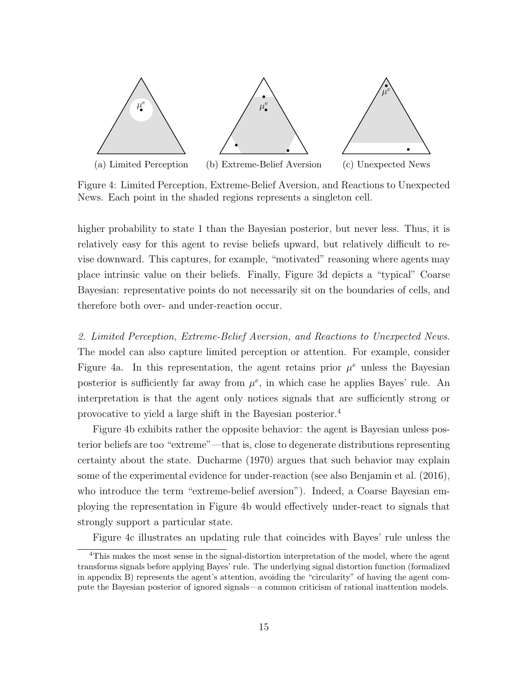

Figure 4: Limited Perception, Extreme-Belief Aversion, and Reactions to Unexpected News. Each point in the shaded regions represents a singleton cell.

higher probability to state 1 than the Bayesian posterior, but never less. Thus, it is relatively easy for this agent to revise beliefs upward, but relatively difficult to revise downward. This captures, for example, "motivated" reasoning where agents may place intrinsic value on their beliefs. Finally, Figure 3d depicts a "typical" Coarse Bayesian: representative points do not necessarily sit on the boundaries of cells, and therefore both over- and under-reaction occur.

2. Limited Perception, Extreme-Belief Aversion, and Reactions to Unexpected News. The model can also capture limited perception or attention. For example, consider Figure 4a. In this representation, the agent retains prior  $\mu^e$  unless the Bayesian posterior is sufficiently far away from  $\mu^e$ , in which case he applies Bayes' rule. An interpretation is that the agent only notices signals that are sufficiently strong or provocative to yield a large shift in the Bayesian posterior.<sup>4</sup>

Figure 4b exhibits rather the opposite behavior: the agent is Bayesian unless posterior beliefs are too "extreme"—that is, close to degenerate distributions representing certainty about the state. Ducharme (1970) argues that such behavior may explain some of the experimental evidence for under-reaction (see also Benjamin et al. (2016), who introduce the term "extreme-belief aversion"). Indeed, a Coarse Bayesian employing the representation in Figure 4b would effectively under-react to signals that strongly support a particular state.

Figure 4c illustrates an updating rule that coincides with Bayes' rule unless the

<sup>&</sup>lt;sup>4</sup>This makes the most sense in the signal-distortion interpretation of the model, where the agent transforms signals before applying Bayes' rule. The underlying signal distortion function (formalized in appendix B) represents the agent's attention, avoiding the "circularity" of having the agent compute the Bayesian posterior of ignored signals—a common criticism of rational inattention models.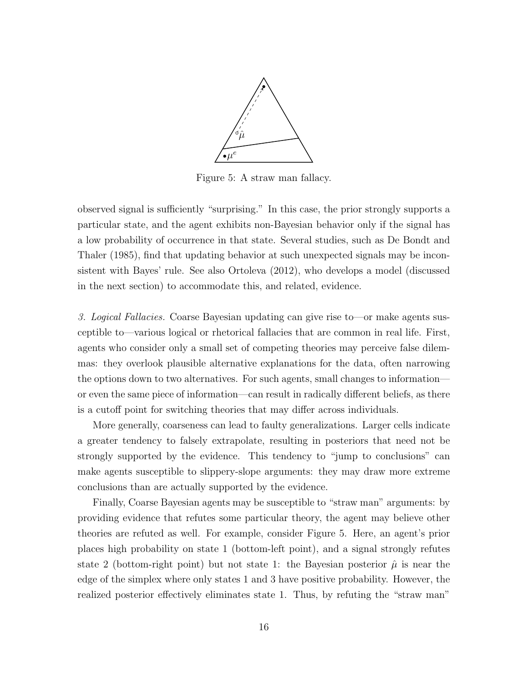

Figure 5: A straw man fallacy.

observed signal is sufficiently "surprising." In this case, the prior strongly supports a particular state, and the agent exhibits non-Bayesian behavior only if the signal has a low probability of occurrence in that state. Several studies, such as De Bondt and Thaler (1985), find that updating behavior at such unexpected signals may be inconsistent with Bayes' rule. See also Ortoleva (2012), who develops a model (discussed in the next section) to accommodate this, and related, evidence.

3. Logical Fallacies. Coarse Bayesian updating can give rise to—or make agents susceptible to—various logical or rhetorical fallacies that are common in real life. First, agents who consider only a small set of competing theories may perceive false dilemmas: they overlook plausible alternative explanations for the data, often narrowing the options down to two alternatives. For such agents, small changes to information or even the same piece of information—can result in radically different beliefs, as there is a cutoff point for switching theories that may differ across individuals.

More generally, coarseness can lead to faulty generalizations. Larger cells indicate a greater tendency to falsely extrapolate, resulting in posteriors that need not be strongly supported by the evidence. This tendency to "jump to conclusions" can make agents susceptible to slippery-slope arguments: they may draw more extreme conclusions than are actually supported by the evidence.

Finally, Coarse Bayesian agents may be susceptible to "straw man" arguments: by providing evidence that refutes some particular theory, the agent may believe other theories are refuted as well. For example, consider Figure 5. Here, an agent's prior places high probability on state 1 (bottom-left point), and a signal strongly refutes state 2 (bottom-right point) but not state 1: the Bayesian posterior  $\hat{\mu}$  is near the edge of the simplex where only states 1 and 3 have positive probability. However, the realized posterior effectively eliminates state 1. Thus, by refuting the "straw man"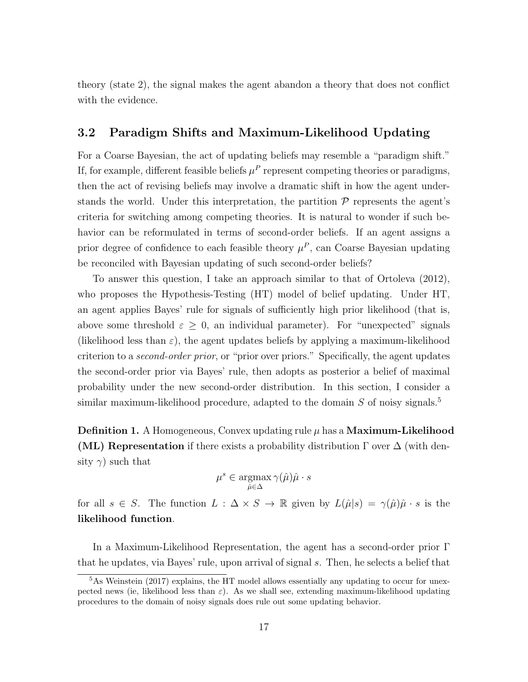theory (state 2), the signal makes the agent abandon a theory that does not conflict with the evidence.

### 3.2 Paradigm Shifts and Maximum-Likelihood Updating

For a Coarse Bayesian, the act of updating beliefs may resemble a "paradigm shift." If, for example, different feasible beliefs  $\mu^P$  represent competing theories or paradigms, then the act of revising beliefs may involve a dramatic shift in how the agent understands the world. Under this interpretation, the partition  $P$  represents the agent's criteria for switching among competing theories. It is natural to wonder if such behavior can be reformulated in terms of second-order beliefs. If an agent assigns a prior degree of confidence to each feasible theory  $\mu^P$ , can Coarse Bayesian updating be reconciled with Bayesian updating of such second-order beliefs?

To answer this question, I take an approach similar to that of Ortoleva (2012), who proposes the Hypothesis-Testing (HT) model of belief updating. Under HT, an agent applies Bayes' rule for signals of sufficiently high prior likelihood (that is, above some threshold  $\varepsilon \geq 0$ , an individual parameter). For "unexpected" signals (likelihood less than  $\varepsilon$ ), the agent updates beliefs by applying a maximum-likelihood criterion to a second-order prior, or "prior over priors." Specifically, the agent updates the second-order prior via Bayes' rule, then adopts as posterior a belief of maximal probability under the new second-order distribution. In this section, I consider a similar maximum-likelihood procedure, adapted to the domain  $S$  of noisy signals.<sup>5</sup>

**Definition 1.** A Homogeneous, Convex updating rule  $\mu$  has a **Maximum-Likelihood (ML) Representation** if there exists a probability distribution  $\Gamma$  over  $\Delta$  (with density  $\gamma$ ) such that

$$
\mu^s \in \operatornamewithlimits{argmax}_{\hat\mu\in\Delta}\gamma(\hat\mu)\hat\mu\cdot s
$$

for all  $s \in S$ . The function  $L : \Delta \times S \to \mathbb{R}$  given by  $L(\hat{\mu}|s) = \gamma(\hat{\mu})\hat{\mu} \cdot s$  is the likelihood function.

In a Maximum-Likelihood Representation, the agent has a second-order prior Γ that he updates, via Bayes' rule, upon arrival of signal s. Then, he selects a belief that

<sup>5</sup>As Weinstein (2017) explains, the HT model allows essentially any updating to occur for unexpected news (ie, likelihood less than  $\varepsilon$ ). As we shall see, extending maximum-likelihood updating procedures to the domain of noisy signals does rule out some updating behavior.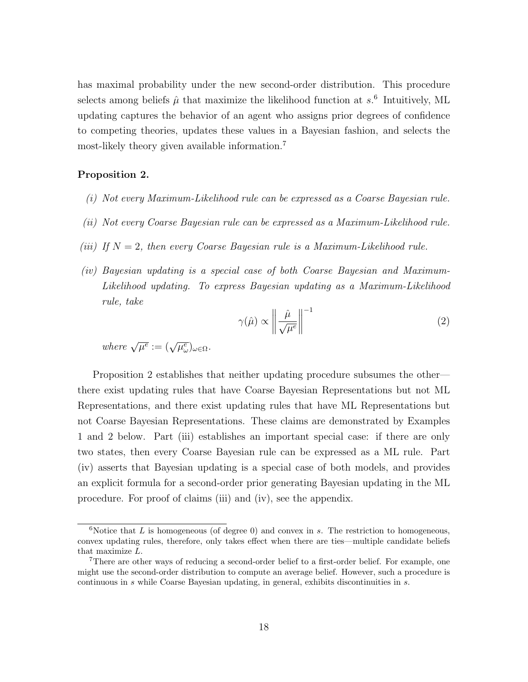has maximal probability under the new second-order distribution. This procedure selects among beliefs  $\hat{\mu}$  that maximize the likelihood function at  $s$ <sup>6</sup> Intuitively, ML updating captures the behavior of an agent who assigns prior degrees of confidence to competing theories, updates these values in a Bayesian fashion, and selects the most-likely theory given available information.<sup>7</sup>

#### Proposition 2.

- (i) Not every Maximum-Likelihood rule can be expressed as a Coarse Bayesian rule.
- (ii) Not every Coarse Bayesian rule can be expressed as a Maximum-Likelihood rule.
- (iii) If  $N = 2$ , then every Coarse Bayesian rule is a Maximum-Likelihood rule.
- (iv) Bayesian updating is a special case of both Coarse Bayesian and Maximum-Likelihood updating. To express Bayesian updating as a Maximum-Likelihood rule, take

$$
\gamma(\hat{\mu}) \propto \left\| \frac{\hat{\mu}}{\sqrt{\mu^e}} \right\|^{-1} \tag{2}
$$

where  $\sqrt{\mu^e} := (\sqrt{\mu^e_{\omega}})_{\omega \in \Omega}$ .

Proposition 2 establishes that neither updating procedure subsumes the other there exist updating rules that have Coarse Bayesian Representations but not ML Representations, and there exist updating rules that have ML Representations but not Coarse Bayesian Representations. These claims are demonstrated by Examples 1 and 2 below. Part (iii) establishes an important special case: if there are only two states, then every Coarse Bayesian rule can be expressed as a ML rule. Part (iv) asserts that Bayesian updating is a special case of both models, and provides an explicit formula for a second-order prior generating Bayesian updating in the ML procedure. For proof of claims (iii) and (iv), see the appendix.

 $6$ Notice that L is homogeneous (of degree 0) and convex in s. The restriction to homogeneous, convex updating rules, therefore, only takes effect when there are ties—multiple candidate beliefs that maximize L.

<sup>&</sup>lt;sup>7</sup>There are other ways of reducing a second-order belief to a first-order belief. For example, one might use the second-order distribution to compute an average belief. However, such a procedure is continuous in s while Coarse Bayesian updating, in general, exhibits discontinuities in s.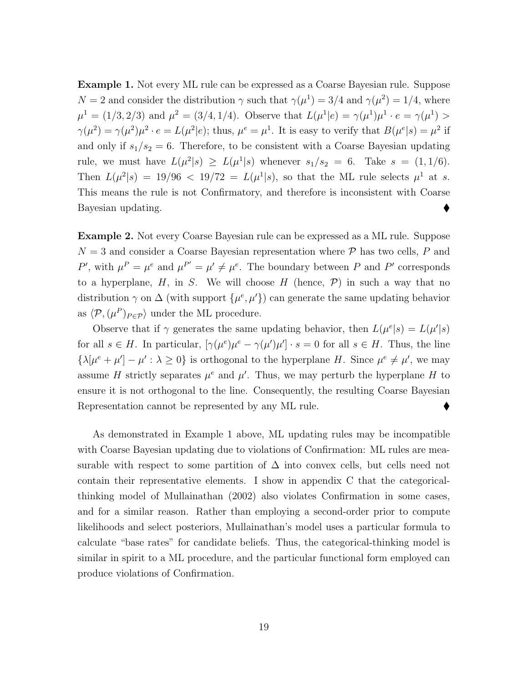Example 1. Not every ML rule can be expressed as a Coarse Bayesian rule. Suppose  $N = 2$  and consider the distribution  $\gamma$  such that  $\gamma(\mu^1) = 3/4$  and  $\gamma(\mu^2) = 1/4$ , where  $\mu^1 = (1/3, 2/3)$  and  $\mu^2 = (3/4, 1/4)$ . Observe that  $L(\mu^1|e) = \gamma(\mu^1)\mu^1 \cdot e = \gamma(\mu^1) >$  $\gamma(\mu^2) = \gamma(\mu^2)\mu^2 \cdot e = L(\mu^2|e);$  thus,  $\mu^e = \mu^1$ . It is easy to verify that  $B(\mu^e|s) = \mu^2$  if and only if  $s_1/s_2 = 6$ . Therefore, to be consistent with a Coarse Bayesian updating rule, we must have  $L(\mu^2|s) \ge L(\mu^1|s)$  whenever  $s_1/s_2 = 6$ . Take  $s = (1, 1/6)$ . Then  $L(\mu^2|s) = 19/96 < 19/72 = L(\mu^1|s)$ , so that the ML rule selects  $\mu^1$  at s. This means the rule is not Confirmatory, and therefore is inconsistent with Coarse Bayesian updating.

Example 2. Not every Coarse Bayesian rule can be expressed as a ML rule. Suppose  $N = 3$  and consider a Coarse Bayesian representation where  $P$  has two cells, P and P', with  $\mu^P = \mu^e$  and  $\mu^{P'} = \mu' \neq \mu^e$ . The boundary between P and P' corresponds to a hyperplane,  $H$ , in  $S$ . We will choose  $H$  (hence,  $\mathcal{P}$ ) in such a way that no distribution  $\gamma$  on  $\Delta$  (with support  $\{\mu^e, \mu'\}$ ) can generate the same updating behavior as  $\langle \mathcal{P}, (\mu^P)_{P \in \mathcal{P}} \rangle$  under the ML procedure.

Observe that if  $\gamma$  generates the same updating behavior, then  $L(\mu^{e}|s) = L(\mu^{e}|s)$ for all  $s \in H$ . In particular,  $[\gamma(\mu^e)\mu^e - \gamma(\mu')\mu'] \cdot s = 0$  for all  $s \in H$ . Thus, the line  $\{\lambda[\mu^e + \mu'] - \mu' : \lambda \geq 0\}$  is orthogonal to the hyperplane H. Since  $\mu^e \neq \mu'$ , we may assume H strictly separates  $\mu^e$  and  $\mu'$ . Thus, we may perturb the hyperplane H to ensure it is not orthogonal to the line. Consequently, the resulting Coarse Bayesian Representation cannot be represented by any ML rule.

As demonstrated in Example 1 above, ML updating rules may be incompatible with Coarse Bayesian updating due to violations of Confirmation: ML rules are measurable with respect to some partition of  $\Delta$  into convex cells, but cells need not contain their representative elements. I show in appendix C that the categoricalthinking model of Mullainathan (2002) also violates Confirmation in some cases, and for a similar reason. Rather than employing a second-order prior to compute likelihoods and select posteriors, Mullainathan's model uses a particular formula to calculate "base rates" for candidate beliefs. Thus, the categorical-thinking model is similar in spirit to a ML procedure, and the particular functional form employed can produce violations of Confirmation.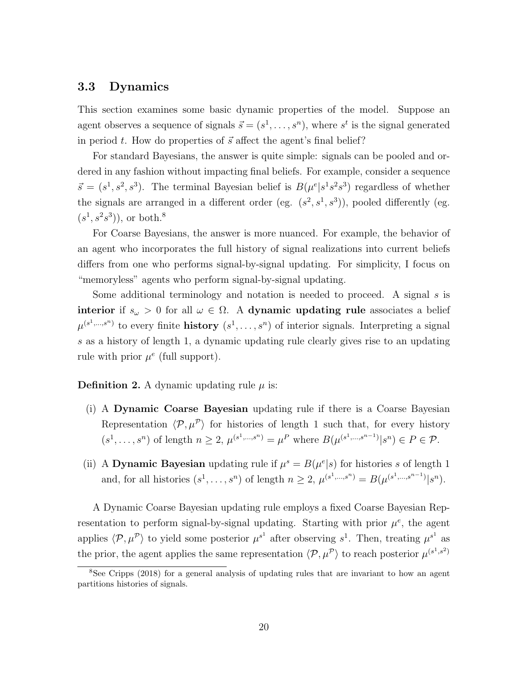### 3.3 Dynamics

This section examines some basic dynamic properties of the model. Suppose an agent observes a sequence of signals  $\vec{s} = (s^1, \ldots, s^n)$ , where  $s^t$  is the signal generated in period t. How do properties of  $\vec{s}$  affect the agent's final belief?

For standard Bayesians, the answer is quite simple: signals can be pooled and ordered in any fashion without impacting final beliefs. For example, consider a sequence  $\vec{s} = (s^1, s^2, s^3)$ . The terminal Bayesian belief is  $B(\mu^e | s^1 s^2 s^3)$  regardless of whether the signals are arranged in a different order (eg.  $(s^2, s^1, s^3)$ ), pooled differently (eg.  $(s^1, s^2s^3)$ , or both.<sup>8</sup>

For Coarse Bayesians, the answer is more nuanced. For example, the behavior of an agent who incorporates the full history of signal realizations into current beliefs differs from one who performs signal-by-signal updating. For simplicity, I focus on "memoryless" agents who perform signal-by-signal updating.

Some additional terminology and notation is needed to proceed. A signal  $s$  is interior if  $s_{\omega} > 0$  for all  $\omega \in \Omega$ . A dynamic updating rule associates a belief  $\mu^{(s^1,\ldots,s^n)}$  to every finite **history**  $(s^1,\ldots,s^n)$  of interior signals. Interpreting a signal s as a history of length 1, a dynamic updating rule clearly gives rise to an updating rule with prior  $\mu^e$  (full support).

**Definition 2.** A dynamic updating rule  $\mu$  is:

- (i) A Dynamic Coarse Bayesian updating rule if there is a Coarse Bayesian Representation  $\langle \mathcal{P}, \mu^{\mathcal{P}} \rangle$  for histories of length 1 such that, for every history  $(s^1, \ldots, s^n)$  of length  $n \geq 2$ ,  $\mu^{(s^1, \ldots, s^n)} = \mu^P$  where  $B(\mu^{(s^1, \ldots, s^{n-1})}|s^n) \in P \in \mathcal{P}$ .
- (ii) A Dynamic Bayesian updating rule if  $\mu^s = B(\mu^e|s)$  for histories s of length 1 and, for all histories  $(s^1, ..., s^n)$  of length  $n \ge 2$ ,  $\mu^{(s^1, ..., s^n)} = B(\mu^{(s^1, ..., s^{n-1})}|s^n)$ .

A Dynamic Coarse Bayesian updating rule employs a fixed Coarse Bayesian Representation to perform signal-by-signal updating. Starting with prior  $\mu^e$ , the agent applies  $\langle \mathcal{P}, \mu^{\mathcal{P}} \rangle$  to yield some posterior  $\mu^{s^1}$  after observing  $s^1$ . Then, treating  $\mu^{s^1}$  as the prior, the agent applies the same representation  $\langle \mathcal{P}, \mu^{\mathcal{P}} \rangle$  to reach posterior  $\mu^{(s^1, s^2)}$ 

<sup>8</sup>See Cripps (2018) for a general analysis of updating rules that are invariant to how an agent partitions histories of signals.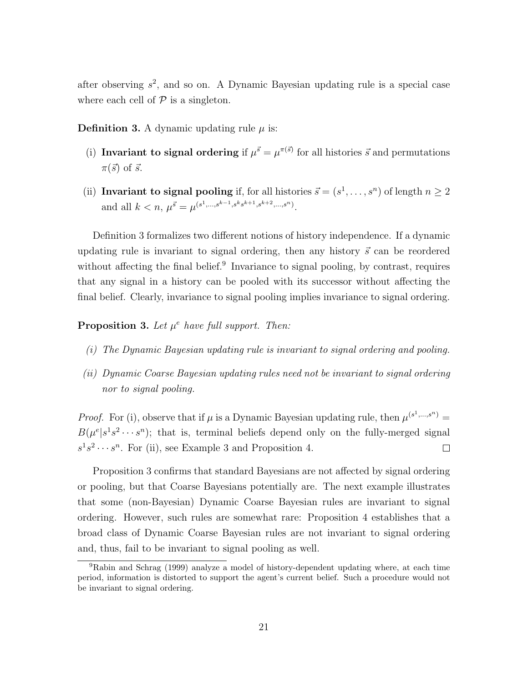after observing  $s^2$ , and so on. A Dynamic Bayesian updating rule is a special case where each cell of  $P$  is a singleton.

**Definition 3.** A dynamic updating rule  $\mu$  is:

- (i) Invariant to signal ordering if  $\mu^{\vec{s}} = \mu^{\pi(\vec{s})}$  for all histories  $\vec{s}$  and permutations  $\pi(\vec{s})$  of  $\vec{s}$ .
- (ii) Invariant to signal pooling if, for all histories  $\vec{s} = (s^1, \dots, s^n)$  of length  $n \geq 2$ and all  $k < n$ ,  $\mu^{\vec{s}} = \mu^{(s^1, \ldots, s^{k-1}, s^k s^{k+1}, s^{k+2}, \ldots, s^n)}$ .

Definition 3 formalizes two different notions of history independence. If a dynamic updating rule is invariant to signal ordering, then any history  $\vec{s}$  can be reordered without affecting the final belief.<sup>9</sup> Invariance to signal pooling, by contrast, requires that any signal in a history can be pooled with its successor without affecting the final belief. Clearly, invariance to signal pooling implies invariance to signal ordering.

**Proposition 3.** Let  $\mu^e$  have full support. Then:

- (i) The Dynamic Bayesian updating rule is invariant to signal ordering and pooling.
- (ii) Dynamic Coarse Bayesian updating rules need not be invariant to signal ordering nor to signal pooling.

*Proof.* For (i), observe that if  $\mu$  is a Dynamic Bayesian updating rule, then  $\mu^{(s^1,\dots,s^n)}$  =  $B(\mu^{e}|s^{1}s^{2}\cdots s^{n})$ ; that is, terminal beliefs depend only on the fully-merged signal  $s^1 s^2 \cdots s^n$ . For (ii), see Example 3 and Proposition 4.  $\Box$ 

Proposition 3 confirms that standard Bayesians are not affected by signal ordering or pooling, but that Coarse Bayesians potentially are. The next example illustrates that some (non-Bayesian) Dynamic Coarse Bayesian rules are invariant to signal ordering. However, such rules are somewhat rare: Proposition 4 establishes that a broad class of Dynamic Coarse Bayesian rules are not invariant to signal ordering and, thus, fail to be invariant to signal pooling as well.

<sup>9</sup>Rabin and Schrag (1999) analyze a model of history-dependent updating where, at each time period, information is distorted to support the agent's current belief. Such a procedure would not be invariant to signal ordering.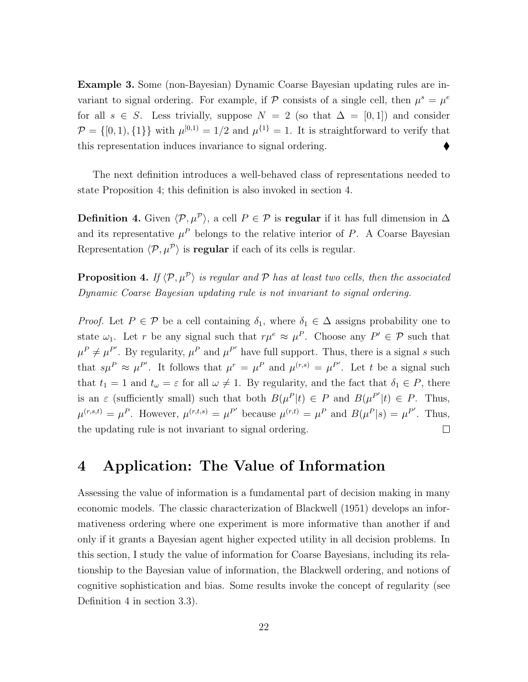Example 3. Some (non-Bayesian) Dynamic Coarse Bayesian updating rules are invariant to signal ordering. For example, if P consists of a single cell, then  $\mu^s = \mu^e$ for all  $s \in S$ . Less trivially, suppose  $N = 2$  (so that  $\Delta = [0, 1]$ ) and consider  $\mathcal{P} = \{ [0, 1), \{1\} \}$  with  $\mu^{[0,1)} = 1/2$  and  $\mu^{\{1\}} = 1$ . It is straightforward to verify that this representation induces invariance to signal ordering.

The next definition introduces a well-behaved class of representations needed to state Proposition 4; this definition is also invoked in section 4.

Definition 4. Given  $\langle \mathcal{P}, \mu^{\mathcal{P}} \rangle$ , a cell  $P \in \mathcal{P}$  is regular if it has full dimension in  $\Delta$ and its representative  $\mu^P$  belongs to the relative interior of P. A Coarse Bayesian Representation  $\langle \mathcal{P}, \mu^{\mathcal{P}} \rangle$  is **regular** if each of its cells is regular.

**Proposition 4.** If  $\langle \mathcal{P}, \mu^{\mathcal{P}} \rangle$  is regular and  $\mathcal{P}$  has at least two cells, then the associated Dynamic Coarse Bayesian updating rule is not invariant to signal ordering.

Proof. Let  $P \in \mathcal{P}$  be a cell containing  $\delta_1$ , where  $\delta_1 \in \Delta$  assigns probability one to state  $\omega_1$ . Let r be any signal such that  $r\mu^e \approx \mu^P$ . Choose any  $P' \in \mathcal{P}$  such that  $\mu^P \neq \mu^{P'}$ . By regularity,  $\mu^P$  and  $\mu^{P'}$  have full support. Thus, there is a signal s such that  $s\mu^P \approx \mu^{P'}$ . It follows that  $\mu^r = \mu^P$  and  $\mu^{(r,s)} = \mu^{P'}$ . Let t be a signal such that  $t_1 = 1$  and  $t_\omega = \varepsilon$  for all  $\omega \neq 1$ . By regularity, and the fact that  $\delta_1 \in P$ , there is an  $\varepsilon$  (sufficiently small) such that both  $B(\mu^P|t) \in P$  and  $B(\mu^{P'}|t) \in P$ . Thus,  $\mu^{(r,s,t)} = \mu^P$ . However,  $\mu^{(r,t,s)} = \mu^{P'}$  because  $\mu^{(r,t)} = \mu^P$  and  $B(\mu^P|s) = \mu^{P'}$ . Thus, the updating rule is not invariant to signal ordering.  $\Box$ 

## 4 Application: The Value of Information

Assessing the value of information is a fundamental part of decision making in many economic models. The classic characterization of Blackwell (1951) develops an informativeness ordering where one experiment is more informative than another if and only if it grants a Bayesian agent higher expected utility in all decision problems. In this section, I study the value of information for Coarse Bayesians, including its relationship to the Bayesian value of information, the Blackwell ordering, and notions of cognitive sophistication and bias. Some results invoke the concept of regularity (see Definition 4 in section 3.3).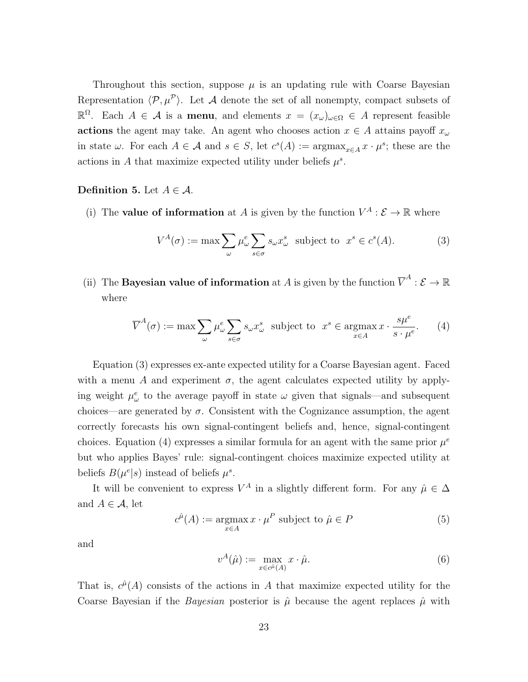Throughout this section, suppose  $\mu$  is an updating rule with Coarse Bayesian Representation  $\langle \mathcal{P}, \mu^{\mathcal{P}} \rangle$ . Let A denote the set of all nonempty, compact subsets of  $\mathbb{R}^Ω$ . Each  $A ∈ A$  is a **menu**, and elements  $x = (x<sub>ω</sub>)<sub>ω∈Ω</sub> ∈ A$  represent feasible actions the agent may take. An agent who chooses action  $x \in A$  attains payoff  $x_{\omega}$ in state  $\omega$ . For each  $A \in \mathcal{A}$  and  $s \in S$ , let  $c^{s}(A) := \operatorname{argmax}_{x \in A} x \cdot \mu^{s}$ ; these are the actions in A that maximize expected utility under beliefs  $\mu^s$ .

#### Definition 5. Let  $A \in \mathcal{A}$ .

(i) The **value of information** at A is given by the function  $V^A : \mathcal{E} \to \mathbb{R}$  where

$$
V^{A}(\sigma) := \max \sum_{\omega} \mu_{\omega}^{e} \sum_{s \in \sigma} s_{\omega} x_{\omega}^{s} \text{ subject to } x^{s} \in c^{s}(A). \tag{3}
$$

(ii) The **Bayesian value of information** at A is given by the function  $\overline{V}^A : \mathcal{E} \to \mathbb{R}$ where

$$
\overline{V}^{A}(\sigma) := \max \sum_{\omega} \mu_{\omega}^{e} \sum_{s \in \sigma} s_{\omega} x_{\omega}^{s} \text{ subject to } x^{s} \in \operatorname*{argmax}_{x \in A} x \cdot \frac{s \mu^{e}}{s \cdot \mu^{e}}. \tag{4}
$$

Equation (3) expresses ex-ante expected utility for a Coarse Bayesian agent. Faced with a menu A and experiment  $\sigma$ , the agent calculates expected utility by applying weight  $\mu^e_\omega$  to the average payoff in state  $\omega$  given that signals—and subsequent choices—are generated by  $\sigma$ . Consistent with the Cognizance assumption, the agent correctly forecasts his own signal-contingent beliefs and, hence, signal-contingent choices. Equation (4) expresses a similar formula for an agent with the same prior  $\mu^e$ but who applies Bayes' rule: signal-contingent choices maximize expected utility at beliefs  $B(\mu^{e}|s)$  instead of beliefs  $\mu^{s}$ .

It will be convenient to express  $V^A$  in a slightly different form. For any  $\hat{\mu} \in \Delta$ and  $A \in \mathcal{A}$ , let

$$
c^{\hat{\mu}}(A) := \underset{x \in A}{\operatorname{argmax}} x \cdot \mu^{P} \text{ subject to } \hat{\mu} \in P \tag{5}
$$

and

$$
v^{A}(\hat{\mu}) := \max_{x \in c^{\hat{\mu}}(A)} x \cdot \hat{\mu}.
$$
 (6)

That is,  $c^{\hat{\mu}}(A)$  consists of the actions in A that maximize expected utility for the Coarse Bayesian if the *Bayesian* posterior is  $\hat{\mu}$  because the agent replaces  $\hat{\mu}$  with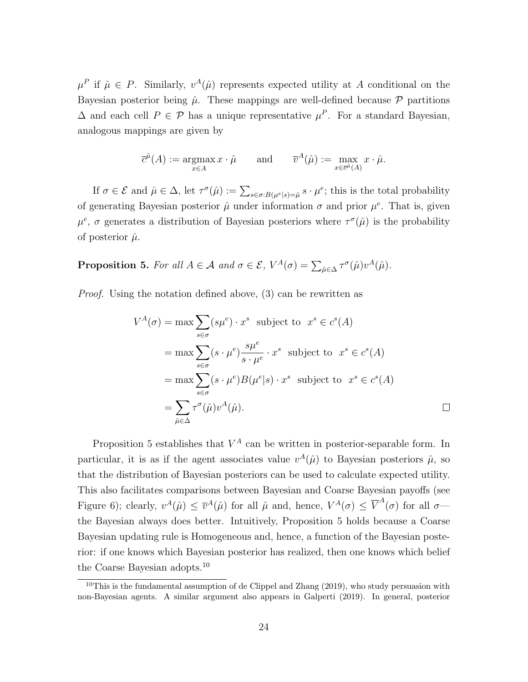$\mu^P$  if  $\hat{\mu} \in P$ . Similarly,  $v^A(\hat{\mu})$  represents expected utility at A conditional on the Bayesian posterior being  $\hat{\mu}$ . These mappings are well-defined because  $\mathcal{P}$  partitions  $\Delta$  and each cell  $P \in \mathcal{P}$  has a unique representative  $\mu^P$ . For a standard Bayesian, analogous mappings are given by

$$
\overline{c}^{\hat{\mu}}(A) := \underset{x \in A}{\operatorname{argmax}} x \cdot \hat{\mu} \quad \text{and} \quad \overline{v}^A(\hat{\mu}) := \underset{x \in \overline{c}^{\hat{\mu}}(A)}{\operatorname{max}} x \cdot \hat{\mu}.
$$

If  $\sigma \in \mathcal{E}$  and  $\hat{\mu} \in \Delta$ , let  $\tau^{\sigma}(\hat{\mu}) := \sum_{s \in \sigma : B(\mu^e | s) = \hat{\mu}} s \cdot \mu^e$ ; this is the total probability of generating Bayesian posterior  $\hat{\mu}$  under information  $\sigma$  and prior  $\mu^e$ . That is, given  $\mu^e$ ,  $\sigma$  generates a distribution of Bayesian posteriors where  $\tau^{\sigma}(\hat{\mu})$  is the probability of posterior  $\hat{\mu}$ .

**Proposition 5.** For all  $A \in \mathcal{A}$  and  $\sigma \in \mathcal{E}$ ,  $V^A(\sigma) = \sum_{\hat{\mu} \in \Delta} \tau^{\sigma}(\hat{\mu}) v^A(\hat{\mu})$ .

Proof. Using the notation defined above, (3) can be rewritten as

$$
V^{A}(\sigma) = \max \sum_{s \in \sigma} (s\mu^{e}) \cdot x^{s} \text{ subject to } x^{s} \in c^{s}(A)
$$
  
= 
$$
\max \sum_{s \in \sigma} (s \cdot \mu^{e}) \frac{s\mu^{e}}{s \cdot \mu^{e}} \cdot x^{s} \text{ subject to } x^{s} \in c^{s}(A)
$$
  
= 
$$
\max \sum_{s \in \sigma} (s \cdot \mu^{e}) B(\mu^{e}|s) \cdot x^{s} \text{ subject to } x^{s} \in c^{s}(A)
$$
  
= 
$$
\sum_{\hat{\mu} \in \Delta} \tau^{\sigma}(\hat{\mu}) v^{A}(\hat{\mu}).
$$

Proposition 5 establishes that  $V^A$  can be written in posterior-separable form. In particular, it is as if the agent associates value  $v^{A}(\hat{\mu})$  to Bayesian posteriors  $\hat{\mu}$ , so that the distribution of Bayesian posteriors can be used to calculate expected utility. This also facilitates comparisons between Bayesian and Coarse Bayesian payoffs (see Figure 6); clearly,  $v^A(\hat{\mu}) \leq \overline{v}^A(\hat{\mu})$  for all  $\hat{\mu}$  and, hence,  $V^A(\sigma) \leq \overline{V}^A(\sigma)$  for all  $\sigma$  the Bayesian always does better. Intuitively, Proposition 5 holds because a Coarse Bayesian updating rule is Homogeneous and, hence, a function of the Bayesian posterior: if one knows which Bayesian posterior has realized, then one knows which belief the Coarse Bayesian adopts.<sup>10</sup>

<sup>&</sup>lt;sup>10</sup>This is the fundamental assumption of de Clippel and Zhang  $(2019)$ , who study persuasion with non-Bayesian agents. A similar argument also appears in Galperti (2019). In general, posterior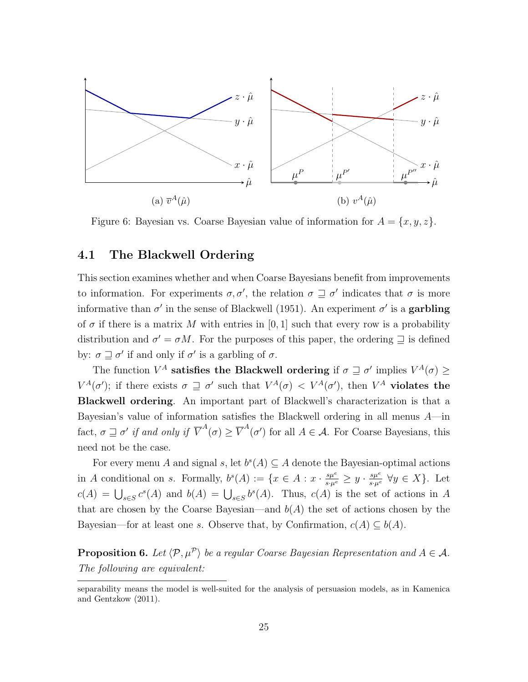

Figure 6: Bayesian vs. Coarse Bayesian value of information for  $A = \{x, y, z\}.$ 

### 4.1 The Blackwell Ordering

This section examines whether and when Coarse Bayesians benefit from improvements to information. For experiments  $\sigma, \sigma'$ , the relation  $\sigma \supseteq \sigma'$  indicates that  $\sigma$  is more informative than  $\sigma'$  in the sense of Blackwell (1951). An experiment  $\sigma'$  is a garbling of  $\sigma$  if there is a matrix M with entries in [0, 1] such that every row is a probability distribution and  $\sigma' = \sigma M$ . For the purposes of this paper, the ordering  $\supseteq$  is defined by:  $\sigma \sqsupseteq \sigma'$  if and only if  $\sigma'$  is a garbling of  $\sigma$ .

The function  $V^A$  satisfies the Blackwell ordering if  $\sigma \sqsupseteq \sigma'$  implies  $V^A(\sigma) \geq$  $V^A(\sigma')$ ; if there exists  $\sigma \supseteq \sigma'$  such that  $V^A(\sigma) < V^A(\sigma')$ , then  $V^A$  violates the Blackwell ordering. An important part of Blackwell's characterization is that a Bayesian's value of information satisfies the Blackwell ordering in all menus  $A$ —in fact,  $\sigma \sqsupseteq \sigma'$  if and only if  $\overline{V}^A(\sigma) \geq \overline{V}^A(\sigma')$  for all  $A \in \mathcal{A}$ . For Coarse Bayesians, this need not be the case.

For every menu A and signal s, let  $b^{s}(A) \subseteq A$  denote the Bayesian-optimal actions in A conditional on s. Formally,  $b^s(A) := \{x \in A : x \cdot \frac{s\mu^e}{s \cdot \mu^e} \geq y \cdot \frac{s\mu^e}{s \cdot \mu^e} \ \forall y \in X\}.$  Let  $c(A) = \bigcup_{s \in S} c^s(A)$  and  $b(A) = \bigcup_{s \in S} b^s(A)$ . Thus,  $c(A)$  is the set of actions in A that are chosen by the Coarse Bayesian—and  $b(A)$  the set of actions chosen by the Bayesian—for at least one s. Observe that, by Confirmation,  $c(A) \subseteq b(A)$ .

**Proposition 6.** Let  $\langle \mathcal{P}, \mu^{\mathcal{P}} \rangle$  be a regular Coarse Bayesian Representation and  $A \in \mathcal{A}$ . The following are equivalent:

separability means the model is well-suited for the analysis of persuasion models, as in Kamenica and Gentzkow (2011).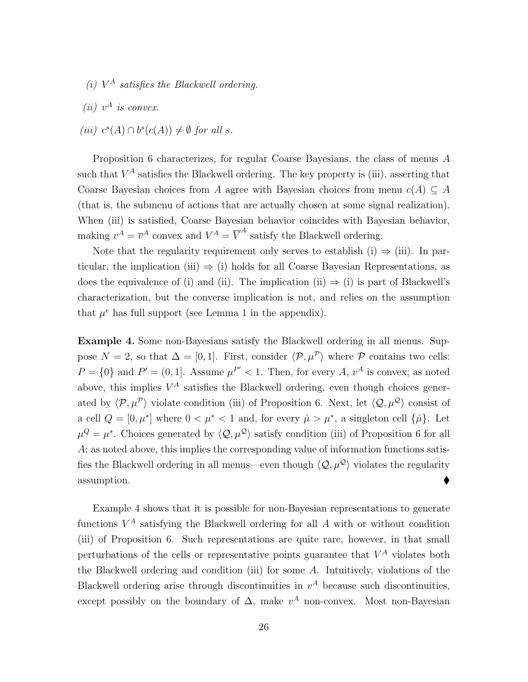- (i)  $V^A$  satisfies the Blackwell ordering.
- (*ii*)  $v^A$  *is convex.*
- (iii)  $c^{s}(A) \cap b^{s}(c(A)) \neq \emptyset$  for all s.

Proposition 6 characterizes, for regular Coarse Bayesians, the class of menus A such that  $V^A$  satisfies the Blackwell ordering. The key property is (iii), asserting that Coarse Bayesian choices from A agree with Bayesian choices from menu  $c(A) \subseteq A$ (that is, the submenu of actions that are actually chosen at some signal realization). When (iii) is satisfied, Coarse Bayesian behavior coincides with Bayesian behavior, making  $v^A = \overline{v}^A$  convex and  $V^A = \overline{V}^A$  satisfy the Blackwell ordering.

Note that the regularity requirement only serves to establish (i)  $\Rightarrow$  (iii). In particular, the implication (iii)  $\Rightarrow$  (i) holds for all Coarse Bayesian Representations, as does the equivalence of (i) and (ii). The implication (ii)  $\Rightarrow$  (i) is part of Blackwell's characterization, but the converse implication is not, and relies on the assumption that  $\mu^e$  has full support (see Lemma 1 in the appendix).

Example 4. Some non-Bayesians satisfy the Blackwell ordering in all menus. Suppose  $N = 2$ , so that  $\Delta = [0, 1]$ . First, consider  $\langle \mathcal{P}, \mu^{\mathcal{P}} \rangle$  where  $\mathcal P$  contains two cells:  $P = \{0\}$  and  $P' = (0, 1]$ . Assume  $\mu^{P'} < 1$ . Then, for every A,  $v^A$  is convex; as noted above, this implies  $V^A$  satisfies the Blackwell ordering, even though choices generated by  $\langle \mathcal{P}, \mu^{\mathcal{P}} \rangle$  violate condition (iii) of Proposition 6. Next, let  $\langle \mathcal{Q}, \mu^{\mathcal{Q}} \rangle$  consist of a cell  $Q = [0, \mu^*]$  where  $0 < \mu^* < 1$  and, for every  $\hat{\mu} > \mu^*$ , a singleton cell  $\{\hat{\mu}\}\)$ . Let  $\mu^Q = \mu^*$ . Choices generated by  $\langle \mathcal{Q}, \mu^Q \rangle$  satisfy condition (iii) of Proposition 6 for all A; as noted above, this implies the corresponding value of information functions satisfies the Blackwell ordering in all menus—even though  $\langle Q, \mu^{\mathcal{Q}} \rangle$  violates the regularity  $\bullet$  assumption.

Example 4 shows that it is possible for non-Bayesian representations to generate functions  $V^A$  satisfying the Blackwell ordering for all  $A$  with or without condition (iii) of Proposition 6. Such representations are quite rare, however, in that small perturbations of the cells or representative points guarantee that  $V^A$  violates both the Blackwell ordering and condition (iii) for some A. Intuitively, violations of the Blackwell ordering arise through discontinuities in  $v^A$  because such discontinuities, except possibly on the boundary of  $\Delta$ , make  $v^A$  non-convex. Most non-Bayesian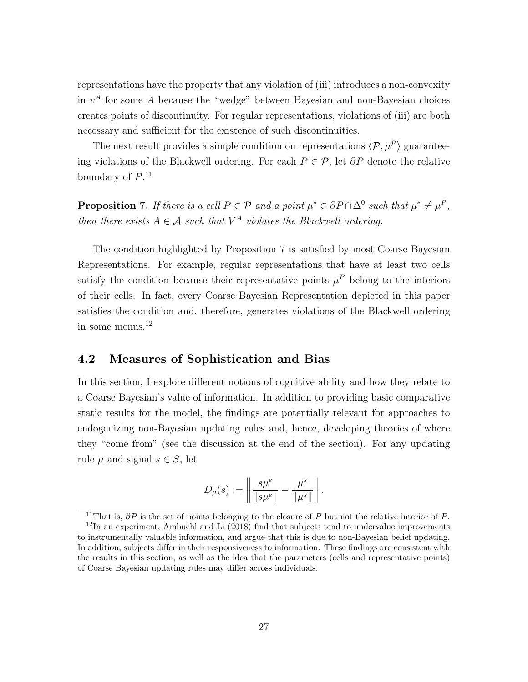representations have the property that any violation of (iii) introduces a non-convexity in  $v^A$  for some A because the "wedge" between Bayesian and non-Bayesian choices creates points of discontinuity. For regular representations, violations of (iii) are both necessary and sufficient for the existence of such discontinuities.

The next result provides a simple condition on representations  $\langle \mathcal{P}, \mu^{\mathcal{P}} \rangle$  guaranteeing violations of the Blackwell ordering. For each  $P \in \mathcal{P}$ , let  $\partial P$  denote the relative boundary of  $P^{11}$ 

**Proposition 7.** If there is a cell  $P \in \mathcal{P}$  and a point  $\mu^* \in \partial P \cap \Delta^0$  such that  $\mu^* \neq \mu^P$ , then there exists  $A \in \mathcal{A}$  such that  $V^A$  violates the Blackwell ordering.

The condition highlighted by Proposition 7 is satisfied by most Coarse Bayesian Representations. For example, regular representations that have at least two cells satisfy the condition because their representative points  $\mu^P$  belong to the interiors of their cells. In fact, every Coarse Bayesian Representation depicted in this paper satisfies the condition and, therefore, generates violations of the Blackwell ordering in some menus. $^{12}$ 

### 4.2 Measures of Sophistication and Bias

In this section, I explore different notions of cognitive ability and how they relate to a Coarse Bayesian's value of information. In addition to providing basic comparative static results for the model, the findings are potentially relevant for approaches to endogenizing non-Bayesian updating rules and, hence, developing theories of where they "come from" (see the discussion at the end of the section). For any updating rule  $\mu$  and signal  $s \in S$ , let

$$
D_{\mu}(s) := \left\| \frac{s\mu^{e}}{\|s\mu^{e}\|} - \frac{\mu^{s}}{\|\mu^{s}\|} \right\|.
$$

 $\overline{^{11} \text{That}}$  is,  $\partial P$  is the set of points belonging to the closure of P but not the relative interior of P.  $12$ In an experiment, Ambuehl and Li (2018) find that subjects tend to undervalue improvements to instrumentally valuable information, and argue that this is due to non-Bayesian belief updating. In addition, subjects differ in their responsiveness to information. These findings are consistent with the results in this section, as well as the idea that the parameters (cells and representative points) of Coarse Bayesian updating rules may differ across individuals.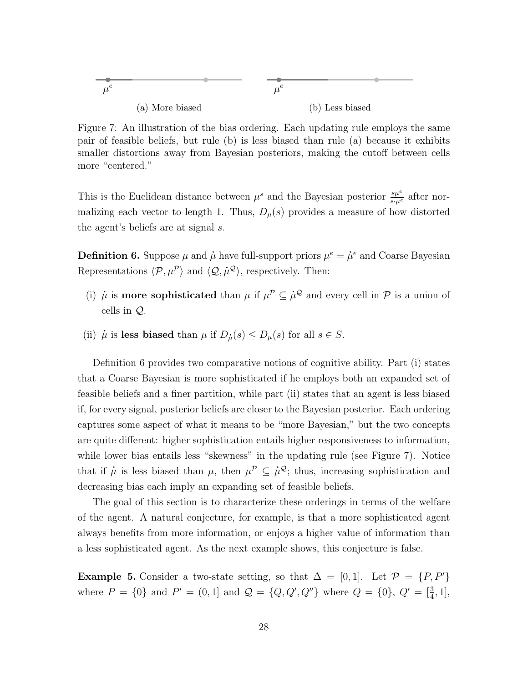$$
\mu^{e}
$$
\n(a) More biased\n(b) Less biased

Figure 7: An illustration of the bias ordering. Each updating rule employs the same pair of feasible beliefs, but rule (b) is less biased than rule (a) because it exhibits smaller distortions away from Bayesian posteriors, making the cutoff between cells more "centered."

This is the Euclidean distance between  $\mu^s$  and the Bayesian posterior  $\frac{s\mu^e}{s\cdot\mu^e}$  after normalizing each vector to length 1. Thus,  $D_{\mu}(s)$  provides a measure of how distorted the agent's beliefs are at signal s.

**Definition 6.** Suppose  $\mu$  and  $\dot{\mu}$  have full-support priors  $\mu^e = \dot{\mu}^e$  and Coarse Bayesian Representations  $\langle \mathcal{P}, \mu^{\mathcal{P}} \rangle$  and  $\langle \mathcal{Q}, \dot{\mu}^{\mathcal{Q}} \rangle$ , respectively. Then:

- (i)  $\mu$  is **more sophisticated** than  $\mu$  if  $\mu^{\mathcal{P}} \subseteq \mu^{\mathcal{Q}}$  and every cell in  $\mathcal{P}$  is a union of cells in Q.
- (ii)  $\mu$  is less biased than  $\mu$  if  $D_{\mu}(s) \leq D_{\mu}(s)$  for all  $s \in S$ .

Definition 6 provides two comparative notions of cognitive ability. Part (i) states that a Coarse Bayesian is more sophisticated if he employs both an expanded set of feasible beliefs and a finer partition, while part (ii) states that an agent is less biased if, for every signal, posterior beliefs are closer to the Bayesian posterior. Each ordering captures some aspect of what it means to be "more Bayesian," but the two concepts are quite different: higher sophistication entails higher responsiveness to information, while lower bias entails less "skewness" in the updating rule (see Figure 7). Notice that if  $\mu$  is less biased than  $\mu$ , then  $\mu^{\mathcal{P}} \subseteq \mu^{\mathcal{Q}}$ ; thus, increasing sophistication and decreasing bias each imply an expanding set of feasible beliefs.

The goal of this section is to characterize these orderings in terms of the welfare of the agent. A natural conjecture, for example, is that a more sophisticated agent always benefits from more information, or enjoys a higher value of information than a less sophisticated agent. As the next example shows, this conjecture is false.

Example 5. Consider a two-state setting, so that  $\Delta = [0, 1]$ . Let  $\mathcal{P} = \{P, P'\}$ where  $P = \{0\}$  and  $P' = (0, 1]$  and  $\mathcal{Q} = \{Q, Q', Q''\}$  where  $Q = \{0\}, Q' = \left[\frac{3}{4}, 1\right]$ ,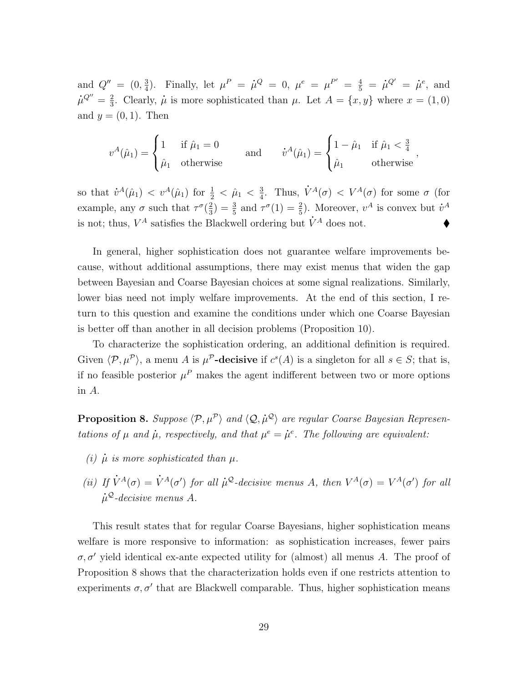and  $Q'' = (0, \frac{3}{4})$  $\frac{3}{4}$ ). Finally, let  $\mu^P = \dot{\mu}^Q = 0$ ,  $\mu^e = \mu^{P'} = \frac{4}{5} = \dot{\mu}^{Q'} = \dot{\mu}^e$ , and  $\dot{\mu}^{Q''} = \frac{2}{3}$  $\frac{2}{3}$ . Clearly,  $\dot{\mu}$  is more sophisticated than  $\mu$ . Let  $A = \{x, y\}$  where  $x = (1, 0)$ and  $y = (0, 1)$ . Then

$$
v^{A}(\hat{\mu}_1) = \begin{cases} 1 & \text{if } \hat{\mu}_1 = 0 \\ \hat{\mu}_1 & \text{otherwise} \end{cases} \quad \text{and} \quad v^{A}(\hat{\mu}_1) = \begin{cases} 1 - \hat{\mu}_1 & \text{if } \hat{\mu}_1 < \frac{3}{4} \\ \hat{\mu}_1 & \text{otherwise} \end{cases},
$$

so that  $\dot{v}^A(\hat{\mu}_1) < v^A(\hat{\mu}_1)$  for  $\frac{1}{2} < \hat{\mu}_1 < \frac{3}{4}$  $\frac{3}{4}$ . Thus,  $\dot{V}^A(\sigma) < V^A(\sigma)$  for some  $\sigma$  (for example, any  $\sigma$  such that  $\tau^{\sigma}(\frac{2}{3})$  $(\frac{2}{3}) = \frac{3}{5}$  and  $\tau^{\sigma}(1) = \frac{2}{5}$ . Moreover,  $v^A$  is convex but  $\dot{v}^A$ is not; thus,  $V^A$  satisfies the Blackwell ordering but  $\dot{V}^A$  does not.

In general, higher sophistication does not guarantee welfare improvements because, without additional assumptions, there may exist menus that widen the gap between Bayesian and Coarse Bayesian choices at some signal realizations. Similarly, lower bias need not imply welfare improvements. At the end of this section, I return to this question and examine the conditions under which one Coarse Bayesian is better off than another in all decision problems (Proposition 10).

To characterize the sophistication ordering, an additional definition is required. Given  $\langle \mathcal{P}, \mu^{\mathcal{P}} \rangle$ , a menu A is  $\mu^{\mathcal{P}}$ -decisive if  $c^{s}(A)$  is a singleton for all  $s \in S$ ; that is, if no feasible posterior  $\mu^P$  makes the agent indifferent between two or more options in A.

**Proposition 8.** Suppose  $\langle P, \mu^P \rangle$  and  $\langle Q, \mu^Q \rangle$  are regular Coarse Bayesian Representations of  $\mu$  and  $\dot{\mu}$ , respectively, and that  $\mu^e = \dot{\mu}^e$ . The following are equivalent:

- (i)  $\mu$  is more sophisticated than  $\mu$ .
- (ii) If  $\dot{V}^A(\sigma) = \dot{V}^A(\sigma')$  for all  $\mu^Q$ -decisive menus A, then  $V^A(\sigma) = V^A(\sigma')$  for all  $\dot{\mu}^{\mathcal{Q}}$ -decisive menus A.

This result states that for regular Coarse Bayesians, higher sophistication means welfare is more responsive to information: as sophistication increases, fewer pairs  $\sigma$ ,  $\sigma'$  yield identical ex-ante expected utility for (almost) all menus A. The proof of Proposition 8 shows that the characterization holds even if one restricts attention to experiments  $\sigma$ ,  $\sigma'$  that are Blackwell comparable. Thus, higher sophistication means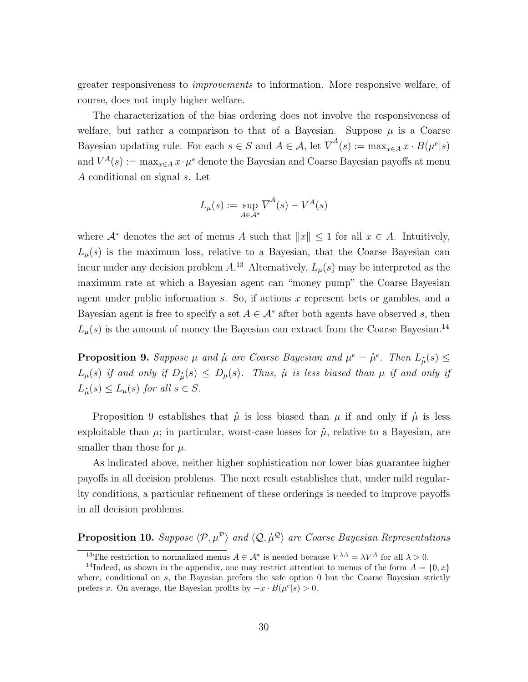greater responsiveness to improvements to information. More responsive welfare, of course, does not imply higher welfare.

The characterization of the bias ordering does not involve the responsiveness of welfare, but rather a comparison to that of a Bayesian. Suppose  $\mu$  is a Coarse Bayesian updating rule. For each  $s \in S$  and  $A \in \mathcal{A}$ , let  $\overline{V}^A(s) := \max_{x \in A} x \cdot B(\mu^e|s)$ and  $V^A(s) := \max_{x \in A} x \cdot \mu^s$  denote the Bayesian and Coarse Bayesian payoffs at menu A conditional on signal s. Let

$$
L_{\mu}(s) := \sup_{A \in \mathcal{A}^*} \overline{V}^A(s) - V^A(s)
$$

where  $\mathcal{A}^*$  denotes the set of menus A such that  $||x|| \leq 1$  for all  $x \in A$ . Intuitively,  $L<sub>\mu</sub>(s)$  is the maximum loss, relative to a Bayesian, that the Coarse Bayesian can incur under any decision problem  $A^{13}$  Alternatively,  $L_{\mu}(s)$  may be interpreted as the maximum rate at which a Bayesian agent can "money pump" the Coarse Bayesian agent under public information s. So, if actions x represent bets or gambles, and a Bayesian agent is free to specify a set  $A \in \mathcal{A}^*$  after both agents have observed s, then  $L_{\mu}(s)$  is the amount of money the Bayesian can extract from the Coarse Bayesian.<sup>14</sup>

**Proposition 9.** Suppose  $\mu$  and  $\dot{\mu}$  are Coarse Bayesian and  $\mu^e = \dot{\mu}^e$ . Then  $L_{\mu}^{\bullet}(s) \leq$  $L_{\mu}(s)$  if and only if  $D_{\mu}(s) \le D_{\mu}(s)$ . Thus,  $\mu$  is less biased than  $\mu$  if and only if  $L_{\mu}(s) \le L_{\mu}(s)$  for all  $s \in S$ .

Proposition 9 establishes that  $\mu$  is less biased than  $\mu$  if and only if  $\mu$  is less exploitable than  $\mu$ ; in particular, worst-case losses for  $\mu$ , relative to a Bayesian, are smaller than those for  $\mu$ .

As indicated above, neither higher sophistication nor lower bias guarantee higher payoffs in all decision problems. The next result establishes that, under mild regularity conditions, a particular refinement of these orderings is needed to improve payoffs in all decision problems.

**Proposition 10.** Suppose  $\langle P, \mu^P \rangle$  and  $\langle Q, \mu^Q \rangle$  are Coarse Bayesian Representations

<sup>&</sup>lt;sup>13</sup>The restriction to normalized menus  $A \in \mathcal{A}^*$  is needed because  $V^{\lambda A} = \lambda V^A$  for all  $\lambda > 0$ .

<sup>&</sup>lt;sup>14</sup>Indeed, as shown in the appendix, one may restrict attention to menus of the form  $A = \{0, x\}$ where, conditional on s, the Bayesian prefers the safe option 0 but the Coarse Bayesian strictly prefers x. On average, the Bayesian profits by  $-x \cdot B(\mu^e|s) > 0$ .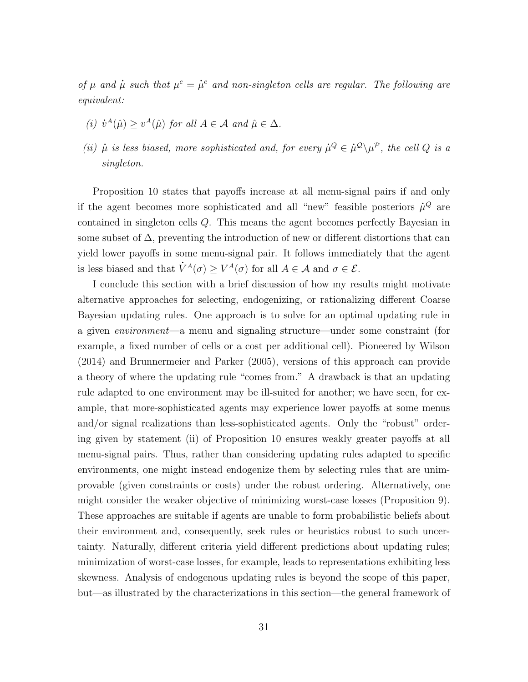of  $\mu$  and  $\mu$  such that  $\mu^e = \mu^e$  and non-singleton cells are regular. The following are equivalent:

- (i)  $\dot{v}^A(\hat{\mu}) \geq v^A(\hat{\mu})$  for all  $A \in \mathcal{A}$  and  $\hat{\mu} \in \Delta$ .
- (ii)  $\mu$  is less biased, more sophisticated and, for every  $\mu^Q \in \mu^Q \setminus \mu^P$ , the cell Q is a singleton.

Proposition 10 states that payoffs increase at all menu-signal pairs if and only if the agent becomes more sophisticated and all "new" feasible posteriors  $\dot{\mu}^Q$  are contained in singleton cells Q. This means the agent becomes perfectly Bayesian in some subset of  $\Delta$ , preventing the introduction of new or different distortions that can yield lower payoffs in some menu-signal pair. It follows immediately that the agent is less biased and that  $\dot{V}^A(\sigma) \geq V^A(\sigma)$  for all  $A \in \mathcal{A}$  and  $\sigma \in \mathcal{E}$ .

I conclude this section with a brief discussion of how my results might motivate alternative approaches for selecting, endogenizing, or rationalizing different Coarse Bayesian updating rules. One approach is to solve for an optimal updating rule in a given environment—a menu and signaling structure—under some constraint (for example, a fixed number of cells or a cost per additional cell). Pioneered by Wilson (2014) and Brunnermeier and Parker (2005), versions of this approach can provide a theory of where the updating rule "comes from." A drawback is that an updating rule adapted to one environment may be ill-suited for another; we have seen, for example, that more-sophisticated agents may experience lower payoffs at some menus and/or signal realizations than less-sophisticated agents. Only the "robust" ordering given by statement (ii) of Proposition 10 ensures weakly greater payoffs at all menu-signal pairs. Thus, rather than considering updating rules adapted to specific environments, one might instead endogenize them by selecting rules that are unimprovable (given constraints or costs) under the robust ordering. Alternatively, one might consider the weaker objective of minimizing worst-case losses (Proposition 9). These approaches are suitable if agents are unable to form probabilistic beliefs about their environment and, consequently, seek rules or heuristics robust to such uncertainty. Naturally, different criteria yield different predictions about updating rules; minimization of worst-case losses, for example, leads to representations exhibiting less skewness. Analysis of endogenous updating rules is beyond the scope of this paper, but—as illustrated by the characterizations in this section—the general framework of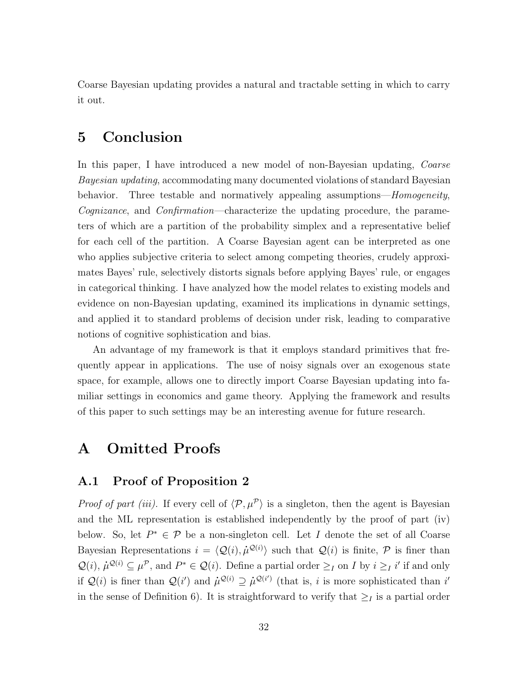Coarse Bayesian updating provides a natural and tractable setting in which to carry it out.

## 5 Conclusion

In this paper, I have introduced a new model of non-Bayesian updating, *Coarse* Bayesian updating, accommodating many documented violations of standard Bayesian behavior. Three testable and normatively appealing assumptions—*Homogeneity*, Cognizance, and Confirmation—characterize the updating procedure, the parameters of which are a partition of the probability simplex and a representative belief for each cell of the partition. A Coarse Bayesian agent can be interpreted as one who applies subjective criteria to select among competing theories, crudely approximates Bayes' rule, selectively distorts signals before applying Bayes' rule, or engages in categorical thinking. I have analyzed how the model relates to existing models and evidence on non-Bayesian updating, examined its implications in dynamic settings, and applied it to standard problems of decision under risk, leading to comparative notions of cognitive sophistication and bias.

An advantage of my framework is that it employs standard primitives that frequently appear in applications. The use of noisy signals over an exogenous state space, for example, allows one to directly import Coarse Bayesian updating into familiar settings in economics and game theory. Applying the framework and results of this paper to such settings may be an interesting avenue for future research.

### A Omitted Proofs

#### A.1 Proof of Proposition 2

*Proof of part (iii).* If every cell of  $\langle \mathcal{P}, \mu^{\mathcal{P}} \rangle$  is a singleton, then the agent is Bayesian and the ML representation is established independently by the proof of part (iv) below. So, let  $P^* \in \mathcal{P}$  be a non-singleton cell. Let I denote the set of all Coarse Bayesian Representations  $i = \langle \mathcal{Q}(i), \dot{\mu}^{\mathcal{Q}(i)} \rangle$  such that  $\mathcal{Q}(i)$  is finite,  $\mathcal P$  is finer than  $\mathcal{Q}(i)$ ,  $\mu^{\mathcal{Q}(i)} \subseteq \mu^{\mathcal{P}}$ , and  $P^* \in \mathcal{Q}(i)$ . Define a partial order  $\geq_I$  on I by  $i \geq_I i'$  if and only if  $\mathcal{Q}(i)$  is finer than  $\mathcal{Q}(i')$  and  $\mu^{\mathcal{Q}(i)} \supseteq \mu^{\mathcal{Q}(i')}$  (that is, i is more sophisticated than i in the sense of Definition 6). It is straightforward to verify that  $\geq_I$  is a partial order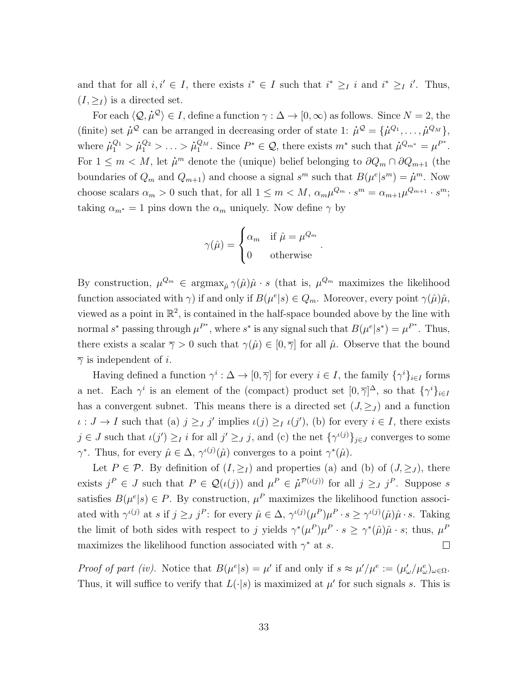and that for all  $i, i' \in I$ , there exists  $i^* \in I$  such that  $i^* \geq I$  and  $i^* \geq I$  i'. Thus,  $(I, ><sub>I</sub>)$  is a directed set.

For each  $\langle \mathcal{Q}, \dot{\mu}^{\mathcal{Q}} \rangle \in I$ , define a function  $\gamma : \Delta \to [0, \infty)$  as follows. Since  $N = 2$ , the (finite) set  $\mu^{\mathcal{Q}}$  can be arranged in decreasing order of state 1:  $\mu^{\mathcal{Q}} = {\mu^{\mathcal{Q}_1}, \ldots, \mu^{\mathcal{Q}_M}}$ , where  $\dot{\mu}_1^{Q_1} > \dot{\mu}_1^{Q_2} > \ldots > \dot{\mu}_1^{Q_M}$ . Since  $P^* \in \mathcal{Q}$ , there exists  $m^*$  such that  $\dot{\mu}^{Q_{m^*}} = {\mu}^{P^*}$ . For  $1 \leq m < M$ , let  $\mu^m$  denote the (unique) belief belonging to  $\partial Q_m \cap \partial Q_{m+1}$  (the boundaries of  $Q_m$  and  $Q_{m+1}$ ) and choose a signal  $s^m$  such that  $B(\mu^e | s^m) = \mu^m$ . Now choose scalars  $\alpha_m > 0$  such that, for all  $1 \leq m < M$ ,  $\alpha_m \mu^{Q_m} \cdot s^m = \alpha_{m+1} \mu^{Q_{m+1}} \cdot s^m$ ; taking  $\alpha_{m^*} = 1$  pins down the  $\alpha_m$  uniquely. Now define  $\gamma$  by

$$
\gamma(\hat{\mu}) = \begin{cases} \alpha_m & \text{if } \hat{\mu} = \mu^{Q_m} \\ 0 & \text{otherwise} \end{cases}
$$

.

By construction,  $\mu^{Q_m} \in \text{argmax}_{\hat{\mu}} \gamma(\hat{\mu})\hat{\mu} \cdot s$  (that is,  $\mu^{Q_m}$  maximizes the likelihood function associated with  $\gamma$ ) if and only if  $B(\mu^{e}|s) \in Q_m$ . Moreover, every point  $\gamma(\hat{\mu})\hat{\mu}$ , viewed as a point in  $\mathbb{R}^2$ , is contained in the half-space bounded above by the line with normal s<sup>\*</sup> passing through  $\mu^{P^*}$ , where s<sup>\*</sup> is any signal such that  $B(\mu^e | s^*) = \mu^{P^*}$ . Thus, there exists a scalar  $\overline{\gamma} > 0$  such that  $\gamma(\hat{\mu}) \in [0, \overline{\gamma}]$  for all  $\hat{\mu}$ . Observe that the bound  $\overline{\gamma}$  is independent of *i*.

Having defined a function  $\gamma^i : \Delta \to [0, \overline{\gamma}]$  for every  $i \in I$ , the family  $\{\gamma^i\}_{i \in I}$  forms a net. Each  $\gamma^i$  is an element of the (compact) product set  $[0, \overline{\gamma}]^{\Delta}$ , so that  $\{\gamma^i\}_{i\in I}$ has a convergent subnet. This means there is a directed set  $(J, \geq_J)$  and a function  $\iota: J \to I$  such that (a)  $j \geq J$  implies  $\iota(j) \geq I$   $\iota(j')$ , (b) for every  $i \in I$ , there exists  $j \in J$  such that  $\iota(j') \geq I$  i for all  $j' \geq J$ , and (c) the net  $\{\gamma^{(j)}\}_{j \in J}$  converges to some  $\gamma^*$ . Thus, for every  $\hat{\mu} \in \Delta$ ,  $\gamma^{(j)}(\hat{\mu})$  converges to a point  $\gamma^*(\hat{\mu})$ .

Let  $P \in \mathcal{P}$ . By definition of  $(I, \geq_I)$  and properties (a) and (b) of  $(J, \geq_J)$ , there exists  $j^P \in J$  such that  $P \in \mathcal{Q}(\iota(j))$  and  $\mu^P \in \dot{\mu}^{\mathcal{P}(\iota(j))}$  for all  $j \geq J^P$ . Suppose s satisfies  $B(\mu^{e}|s) \in P$ . By construction,  $\mu^{P}$  maximizes the likelihood function associated with  $\gamma^{(j)}$  at s if  $j \geq J j^P$ : for every  $\hat{\mu} \in \Delta$ ,  $\gamma^{(j)}(\mu^P)\mu^P \cdot s \geq \gamma^{(j)}(\hat{\mu})\hat{\mu} \cdot s$ . Taking the limit of both sides with respect to j yields  $\gamma^*(\mu^P)\mu^P \cdot s \geq \gamma^*(\hat{\mu})\hat{\mu} \cdot s$ ; thus,  $\mu^P$ maximizes the likelihood function associated with  $\gamma^*$  at s.  $\Box$ 

Proof of part (iv). Notice that  $B(\mu^{e}|s) = \mu'$  if and only if  $s \approx \mu'/\mu^{e} := (\mu'_{\omega}/\mu^{e}_{\omega})_{\omega \in \Omega}$ . Thus, it will suffice to verify that  $L(\cdot|s)$  is maximized at  $\mu'$  for such signals s. This is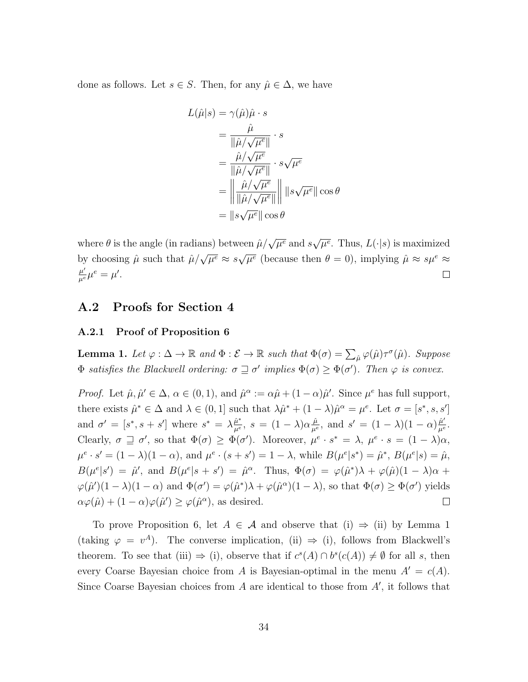done as follows. Let  $s \in S$ . Then, for any  $\hat{\mu} \in \Delta$ , we have

$$
L(\hat{\mu}|s) = \gamma(\hat{\mu})\hat{\mu} \cdot s
$$
  
= 
$$
\frac{\hat{\mu}}{\|\hat{\mu}/\sqrt{\mu^e}\|} \cdot s
$$
  
= 
$$
\frac{\hat{\mu}/\sqrt{\mu^e}}{\|\hat{\mu}/\sqrt{\mu^e}\|} \cdot s\sqrt{\mu^e}
$$
  
= 
$$
\left\|\frac{\hat{\mu}/\sqrt{\mu^e}}{\|\hat{\mu}/\sqrt{\mu^e}\|}\right\| \|s\sqrt{\mu^e}\| \cos \theta
$$
  
= 
$$
\|s\sqrt{\mu^e}\| \cos \theta
$$

where  $\theta$  is the angle (in radians) between  $\hat{\mu}/\sqrt{\mu^e}$  and s √  $\overline{\mu^e}$ . Thus,  $L(\cdot|s)$  is maximized by choosing  $\hat{\mu}$  such that  $\hat{\mu}/\sqrt{\mu^e} \approx s$ √  $\overline{\mu^e}$  (because then  $\theta = 0$ ), implying  $\hat{\mu} \approx s \mu^e \approx$  $\frac{\mu'}{\mu^e}\mu^e=\mu'.$  $\Box$ 

### A.2 Proofs for Section 4

#### A.2.1 Proof of Proposition 6

**Lemma 1.** Let  $\varphi : \Delta \to \mathbb{R}$  and  $\Phi : \mathcal{E} \to \mathbb{R}$  such that  $\Phi(\sigma) = \sum_{\hat{\mu}} \varphi(\hat{\mu}) \tau^{\sigma}(\hat{\mu})$ . Suppose  $\Phi$  satisfies the Blackwell ordering:  $\sigma \sqsupseteq \sigma'$  implies  $\Phi(\sigma) \geq \Phi(\sigma')$ . Then  $\varphi$  is convex.

*Proof.* Let  $\hat{\mu}, \hat{\mu}' \in \Delta$ ,  $\alpha \in (0, 1)$ , and  $\hat{\mu}^{\alpha} := \alpha \hat{\mu} + (1 - \alpha) \hat{\mu}'$ . Since  $\mu^{e}$  has full support, there exists  $\hat{\mu}^* \in \Delta$  and  $\lambda \in (0,1]$  such that  $\lambda \hat{\mu}^* + (1-\lambda)\hat{\mu}^{\alpha} = \mu^e$ . Let  $\sigma = [s^*, s, s']$ and  $\sigma' = [s^*, s + s']$  where  $s^* = \lambda \frac{\hat{\mu}^*}{\mu^e}$  $\frac{\hat{\mu}}{\mu^e}$ , and  $s' = (1 - \lambda)(1 - \alpha)\frac{\hat{\mu}'}{\mu^e}$  $\frac{\hat{\mu}^*}{\mu^e}, \; s \, = \, (1-\lambda) \alpha \frac{\hat{\mu}}{\mu^{\epsilon}}$  $\frac{\mu'}{\mu^e}.$ Clearly,  $\sigma \supseteq \sigma'$ , so that  $\Phi(\sigma) \geq \Phi(\sigma')$ . Moreover,  $\mu^e \cdot s^* = \lambda$ ,  $\mu^e \cdot s = (1 - \lambda)\alpha$ ,  $\mu^e \cdot s' = (1 - \lambda)(1 - \alpha)$ , and  $\mu^e \cdot (s + s') = 1 - \lambda$ , while  $B(\mu^e | s^*) = \hat{\mu}^*, B(\mu^e | s) = \hat{\mu}$ ,  $B(\mu^e|s') = \hat{\mu}'$ , and  $B(\mu^e|s + s') = \hat{\mu}^\alpha$ . Thus,  $\Phi(\sigma) = \varphi(\hat{\mu}^*)\lambda + \varphi(\hat{\mu})(1 - \lambda)\alpha +$  $\varphi(\hat{\mu}')(1-\lambda)(1-\alpha)$  and  $\Phi(\sigma') = \varphi(\hat{\mu}^*)\lambda + \varphi(\hat{\mu}^{\alpha})(1-\lambda)$ , so that  $\Phi(\sigma) \ge \Phi(\sigma')$  yields  $\alpha\varphi(\hat{\mu}) + (1-\alpha)\varphi(\hat{\mu}') \geq \varphi(\hat{\mu}^{\alpha})$ , as desired.  $\Box$ 

To prove Proposition 6, let  $A \in \mathcal{A}$  and observe that (i)  $\Rightarrow$  (ii) by Lemma 1 (taking  $\varphi = v^A$ ). The converse implication, (ii)  $\Rightarrow$  (i), follows from Blackwell's theorem. To see that (iii)  $\Rightarrow$  (i), observe that if  $c^{s}(A) \cap b^{s}(c(A)) \neq \emptyset$  for all s, then every Coarse Bayesian choice from A is Bayesian-optimal in the menu  $A' = c(A)$ . Since Coarse Bayesian choices from  $A$  are identical to those from  $A'$ , it follows that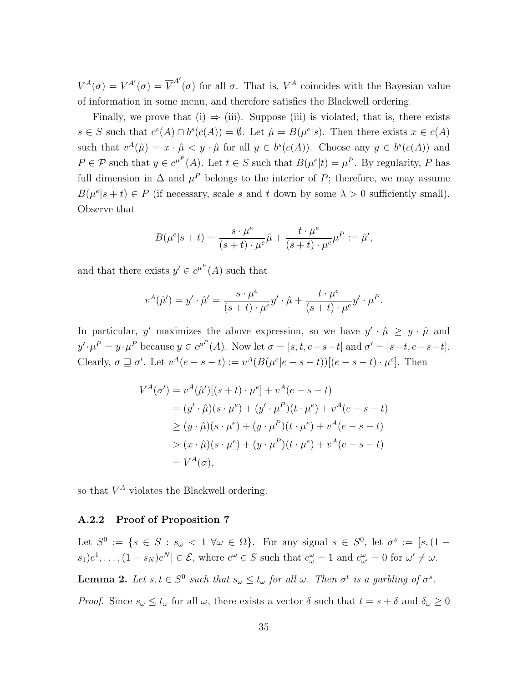$V^A(\sigma) = V^{A'}(\sigma) = \overline{V}^{A'}(\sigma)$  for all  $\sigma$ . That is,  $V^A$  coincides with the Bayesian value of information in some menu, and therefore satisfies the Blackwell ordering.

Finally, we prove that (i)  $\Rightarrow$  (iii). Suppose (iii) is violated; that is, there exists  $s \in S$  such that  $c^{s}(A) \cap b^{s}(c(A)) = \emptyset$ . Let  $\hat{\mu} = B(\mu^{e}|s)$ . Then there exists  $x \in c(A)$ such that  $v^A(\hat{\mu}) = x \cdot \hat{\mu} < y \cdot \hat{\mu}$  for all  $y \in b^s(c(A))$ . Choose any  $y \in b^s(c(A))$  and  $P \in \mathcal{P}$  such that  $y \in c^{\mu^P}(A)$ . Let  $t \in S$  such that  $B(\mu^e|t) = \mu^P$ . By regularity, P has full dimension in  $\Delta$  and  $\mu^P$  belongs to the interior of P; therefore, we may assume  $B(\mu^{e}|s+t) \in P$  (if necessary, scale s and t down by some  $\lambda > 0$  sufficiently small). Observe that

$$
B(\mu^{e}|s+t) = \frac{s \cdot \mu^{e}}{(s+t) \cdot \mu^{e}} \hat{\mu} + \frac{t \cdot \mu^{e}}{(s+t) \cdot \mu^{e}} \mu^{P} := \hat{\mu}',
$$

and that there exists  $y' \in c^{\mu^P}(A)$  such that

$$
v^{A}(\hat{\mu}') = y' \cdot \hat{\mu}' = \frac{s \cdot \mu^{e}}{(s+t) \cdot \mu^{e}} y' \cdot \hat{\mu} + \frac{t \cdot \mu^{e}}{(s+t) \cdot \mu^{e}} y' \cdot \mu^{P}.
$$

In particular, y' maximizes the above expression, so we have  $y' \cdot \hat{\mu} \geq y \cdot \hat{\mu}$  and  $y' \cdot \mu^P = y \cdot \mu^P$  because  $y \in c^{\mu^P}(A)$ . Now let  $\sigma = [s, t, e-s-t]$  and  $\sigma' = [s+t, e-s-t]$ . Clearly,  $\sigma \sqsupseteq \sigma'$ . Let  $v^A(e-s-t) := v^A(B(\mu^e|e-s-t))[(e-s-t)\cdot \mu^e]$ . Then

$$
V^{A}(\sigma') = v^{A}(\hat{\mu}')[(s+t) \cdot \mu^{e}] + v^{A}(e-s-t)
$$
  
=  $(y' \cdot \hat{\mu})(s \cdot \mu^{e}) + (y' \cdot \mu^{P})(t \cdot \mu^{e}) + v^{A}(e-s-t)$   
 $\geq (y \cdot \hat{\mu})(s \cdot \mu^{e}) + (y \cdot \mu^{P})(t \cdot \mu^{e}) + v^{A}(e-s-t)$   
 $> (x \cdot \hat{\mu})(s \cdot \mu^{e}) + (y \cdot \mu^{P})(t \cdot \mu^{e}) + v^{A}(e-s-t)$   
=  $V^{A}(\sigma)$ ,

so that  $V^A$  violates the Blackwell ordering.

#### A.2.2 Proof of Proposition 7

Let  $S^0 := \{ s \in S : s_\omega < 1 \; \forall \omega \in \Omega \}$ . For any signal  $s \in S^0$ , let  $\sigma^s := [s, (1 - \omega)]$  $(s_1)e^1, \ldots, (1 - s_N)e^N] \in \mathcal{E}$ , where  $e^{\omega} \in S$  such that  $e^{\omega}_{\omega} = 1$  and  $e^{\omega}_{\omega'} = 0$  for  $\omega' \neq \omega$ .

**Lemma 2.** Let  $s, t \in S^0$  such that  $s_\omega \leq t_\omega$  for all  $\omega$ . Then  $\sigma^t$  is a garbling of  $\sigma^s$ .

*Proof.* Since  $s_{\omega} \le t_{\omega}$  for all  $\omega$ , there exists a vector  $\delta$  such that  $t = s + \delta$  and  $\delta_{\omega} \ge 0$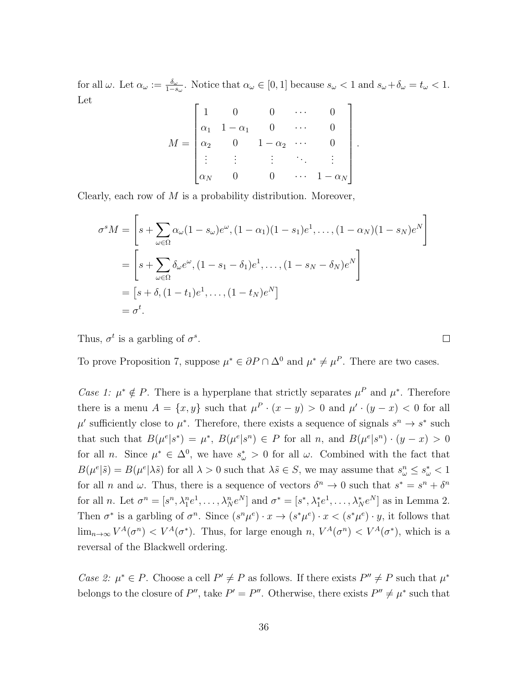for all  $\omega$ . Let  $\alpha_{\omega} := \frac{\delta_{\omega}}{1 - s_{\omega}}$ . Notice that  $\alpha_{\omega} \in [0, 1]$  because  $s_{\omega} < 1$  and  $s_{\omega} + \delta_{\omega} = t_{\omega} < 1$ . Let

$$
M = \begin{bmatrix} 1 & 0 & 0 & \cdots & 0 \\ \alpha_1 & 1 - \alpha_1 & 0 & \cdots & 0 \\ \alpha_2 & 0 & 1 - \alpha_2 & \cdots & 0 \\ \vdots & \vdots & \vdots & \ddots & \vdots \\ \alpha_N & 0 & 0 & \cdots & 1 - \alpha_N \end{bmatrix}.
$$

Clearly, each row of  $M$  is a probability distribution. Moreover,

$$
\sigma^s M = \left[ s + \sum_{\omega \in \Omega} \alpha_{\omega} (1 - s_{\omega}) e^{\omega}, (1 - \alpha_1)(1 - s_1) e^1, \dots, (1 - \alpha_N)(1 - s_N) e^N \right]
$$
  
= 
$$
\left[ s + \sum_{\omega \in \Omega} \delta_{\omega} e^{\omega}, (1 - s_1 - \delta_1) e^1, \dots, (1 - s_N - \delta_N) e^N \right]
$$
  
= 
$$
\left[ s + \delta, (1 - t_1) e^1, \dots, (1 - t_N) e^N \right]
$$
  
= 
$$
\sigma^t.
$$

Thus,  $\sigma^t$  is a garbling of  $\sigma^s$ .

To prove Proposition 7, suppose  $\mu^* \in \partial P \cap \Delta^0$  and  $\mu^* \neq \mu^P$ . There are two cases.

 $\Box$ 

Case 1:  $\mu^* \notin P$ . There is a hyperplane that strictly separates  $\mu^P$  and  $\mu^*$ . Therefore there is a menu  $A = \{x, y\}$  such that  $\mu^P \cdot (x - y) > 0$  and  $\mu' \cdot (y - x) < 0$  for all  $\mu'$  sufficiently close to  $\mu^*$ . Therefore, there exists a sequence of signals  $s^n \to s^*$  such that such that  $B(\mu^e | s^*) = \mu^*, B(\mu^e | s^n) \in P$  for all n, and  $B(\mu^e | s^n) \cdot (y - x) > 0$ for all *n*. Since  $\mu^* \in \Delta^0$ , we have  $s^*_{\omega} > 0$  for all  $\omega$ . Combined with the fact that  $B(\mu^e|\tilde{s}) = B(\mu^e|\lambda \tilde{s})$  for all  $\lambda > 0$  such that  $\lambda \tilde{s} \in S$ , we may assume that  $s_\omega^n \le s_\omega^* < 1$ for all *n* and  $\omega$ . Thus, there is a sequence of vectors  $\delta^n \to 0$  such that  $s^* = s^n + \delta^n$ for all *n*. Let  $\sigma^n = [s^n, \lambda_1^n e^1, \dots, \lambda_N^n e^N]$  and  $\sigma^* = [s^*, \lambda_1^* e^1, \dots, \lambda_N^* e^N]$  as in Lemma 2. Then  $\sigma^*$  is a garbling of  $\sigma^n$ . Since  $(s^n\mu^e) \cdot x \to (s^*\mu^e) \cdot x < (s^*\mu^e) \cdot y$ , it follows that  $\lim_{n\to\infty} V^A(\sigma^n) < V^A(\sigma^*)$ . Thus, for large enough  $n, V^A(\sigma^n) < V^A(\sigma^*)$ , which is a reversal of the Blackwell ordering.

Case 2:  $\mu^* \in P$ . Choose a cell  $P' \neq P$  as follows. If there exists  $P'' \neq P$  such that  $\mu^*$ belongs to the closure of P'', take  $P' = P''$ . Otherwise, there exists  $P'' \neq \mu^*$  such that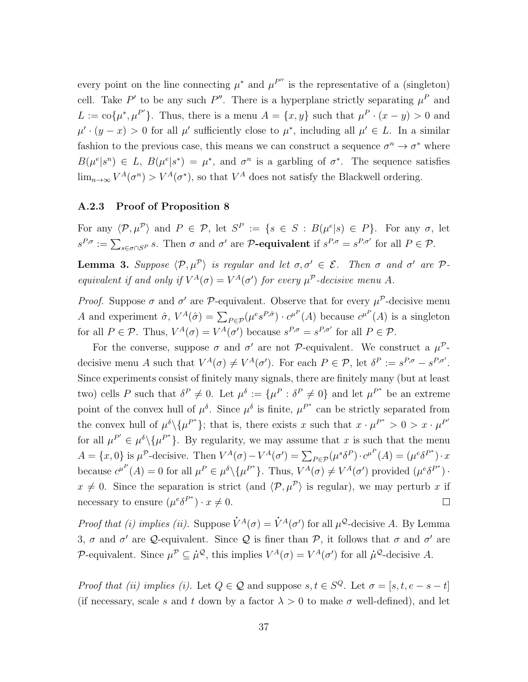every point on the line connecting  $\mu^*$  and  $\mu^{P''}$  is the representative of a (singleton) cell. Take P' to be any such P''. There is a hyperplane strictly separating  $\mu^P$  and  $L := \text{co}\{\mu^*, \mu^{P'}\}.$  Thus, there is a menu  $A = \{x, y\}$  such that  $\mu^P \cdot (x - y) > 0$  and  $\mu' \cdot (y - x) > 0$  for all  $\mu'$  sufficiently close to  $\mu^*$ , including all  $\mu' \in L$ . In a similar fashion to the previous case, this means we can construct a sequence  $\sigma^n \to \sigma^*$  where  $B(\mu^e|s^n) \in L$ ,  $B(\mu^e|s^*) = \mu^*$ , and  $\sigma^n$  is a garbling of  $\sigma^*$ . The sequence satisfies  $\lim_{n\to\infty} V^A(\sigma^n) > V^A(\sigma^*)$ , so that  $V^A$  does not satisfy the Blackwell ordering.

#### A.2.3 Proof of Proposition 8

For any  $\langle \mathcal{P}, \mu^{\mathcal{P}} \rangle$  and  $P \in \mathcal{P}$ , let  $S^P := \{ s \in S : B(\mu^e | s) \in P \}$ . For any  $\sigma$ , let  $s^{P,\sigma} := \sum_{s \in \sigma \cap S^P} s$ . Then  $\sigma$  and  $\sigma'$  are **P-equivalent** if  $s^{P,\sigma} = s^{P,\sigma'}$  for all  $P \in \mathcal{P}$ .

**Lemma 3.** Suppose  $\langle \mathcal{P}, \mu^{\mathcal{P}} \rangle$  is regular and let  $\sigma, \sigma' \in \mathcal{E}$ . Then  $\sigma$  and  $\sigma'$  are  $\mathcal{P}$ equivalent if and only if  $V^A(\sigma) = V^A(\sigma')$  for every  $\mu^P$ -decisive menu A.

*Proof.* Suppose  $\sigma$  and  $\sigma'$  are P-equivalent. Observe that for every  $\mu^{\mathcal{P}}$ -decisive menu A and experiment  $\hat{\sigma}$ ,  $V^A(\hat{\sigma}) = \sum_{P \in \mathcal{P}} (\mu^e s^{P, \hat{\sigma}}) \cdot c^{\mu^P}(A)$  because  $c^{\mu^P}(A)$  is a singleton for all  $P \in \mathcal{P}$ . Thus,  $V^A(\sigma) = V^A(\sigma')$  because  $s^{P,\sigma} = s^{P,\sigma'}$  for all  $P \in \mathcal{P}$ .

For the converse, suppose  $\sigma$  and  $\sigma'$  are not P-equivalent. We construct a  $\mu^{\mathcal{P}}$ decisive menu A such that  $V^A(\sigma) \neq V^A(\sigma')$ . For each  $P \in \mathcal{P}$ , let  $\delta^P := s^{P, \sigma} - s^{P, \sigma'}$ . Since experiments consist of finitely many signals, there are finitely many (but at least two) cells P such that  $\delta^P \neq 0$ . Let  $\mu^{\delta} := {\mu^P : \delta^P \neq 0}$  and let  $\mu^{P^*}$  be an extreme point of the convex hull of  $\mu^{\delta}$ . Since  $\mu^{\delta}$  is finite,  $\mu^{P^*}$  can be strictly separated from the convex hull of  $\mu^{\delta}\setminus{\mu^{P^*}}$ ; that is, there exists x such that  $x \cdot \mu^{P^*} > 0 > x \cdot \mu^{P'}$ for all  $\mu^{P'} \in \mu^{\delta} \setminus {\mu^{P}}^*$ . By regularity, we may assume that x is such that the menu  $A = \{x, 0\}$  is  $\mu^{\mathcal{P}}$ -decisive. Then  $V^A(\sigma) - V^A(\sigma') = \sum_{P \in \mathcal{P}} (\mu^s \delta^P) \cdot c^{\mu^P}(A) = (\mu^e \delta^{P^*}) \cdot x$ because  $c^{\mu^P}(A) = 0$  for all  $\mu^P \in \mu^{\delta} \setminus {\mu^P}^*$ . Thus,  $V^A(\sigma) \neq V^A(\sigma')$  provided  $(\mu^e \delta^{P^*})$ .  $x \neq 0$ . Since the separation is strict (and  $\langle \mathcal{P}, \mu^{\mathcal{P}} \rangle$  is regular), we may perturb x if necessary to ensure  $(\mu^e \delta^{P^*}) \cdot x \neq 0$ .  $\Box$ 

Proof that (i) implies (ii). Suppose  $\dot{V}^A(\sigma) = \dot{V}^A(\sigma')$  for all  $\mu^{\mathcal{Q}}$ -decisive A. By Lemma 3,  $\sigma$  and  $\sigma'$  are Q-equivalent. Since Q is finer than P, it follows that  $\sigma$  and  $\sigma'$  are P-equivalent. Since  $\mu^{\mathcal{P}} \subseteq \mu^{\mathcal{Q}}$ , this implies  $V^A(\sigma) = V^A(\sigma')$  for all  $\mu^{\mathcal{Q}}$ -decisive A.

*Proof that (ii) implies (i).* Let  $Q \in \mathcal{Q}$  and suppose  $s, t \in S^Q$ . Let  $\sigma = [s, t, e - s - t]$ (if necessary, scale s and t down by a factor  $\lambda > 0$  to make  $\sigma$  well-defined), and let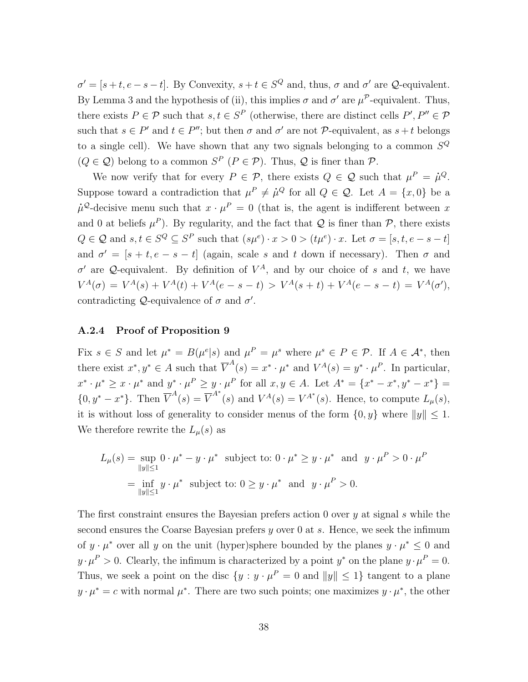$\sigma' = [s+t, e-s-t]$ . By Convexity,  $s+t \in S^Q$  and, thus,  $\sigma$  and  $\sigma'$  are  $\mathcal Q$ -equivalent. By Lemma 3 and the hypothesis of (ii), this implies  $\sigma$  and  $\sigma'$  are  $\mu^{\mathcal{P}}$ -equivalent. Thus, there exists  $P \in \mathcal{P}$  such that  $s, t \in S^P$  (otherwise, there are distinct cells  $P', P'' \in \mathcal{P}$ such that  $s \in P'$  and  $t \in P''$ ; but then  $\sigma$  and  $\sigma'$  are not  $\mathcal{P}$ -equivalent, as  $s + t$  belongs to a single cell). We have shown that any two signals belonging to a common  $S^Q$  $(Q \in \mathcal{Q})$  belong to a common  $S^P$   $(P \in \mathcal{P})$ . Thus,  $\mathcal{Q}$  is finer than  $\mathcal{P}$ .

We now verify that for every  $P \in \mathcal{P}$ , there exists  $Q \in \mathcal{Q}$  such that  $\mu^P = \mu^Q$ . Suppose toward a contradiction that  $\mu^P \neq \mu^Q$  for all  $Q \in \mathcal{Q}$ . Let  $A = \{x, 0\}$  be a  $\mu^{\mathcal{Q}}$ -decisive menu such that  $x \cdot \mu^P = 0$  (that is, the agent is indifferent between x and 0 at beliefs  $\mu^P$ ). By regularity, and the fact that Q is finer than P, there exists  $Q \in \mathcal{Q}$  and  $s, t \in S^Q \subseteq S^P$  such that  $(s\mu^e) \cdot x > 0 > (t\mu^e) \cdot x$ . Let  $\sigma = [s, t, e - s - t]$ and  $\sigma' = [s + t, e - s - t]$  (again, scale s and t down if necessary). Then  $\sigma$  and  $\sigma'$  are Q-equivalent. By definition of  $V^A$ , and by our choice of s and t, we have  $V^A(\sigma) = V^A(s) + V^A(t) + V^A(e - s - t) > V^A(s + t) + V^A(e - s - t) = V^A(\sigma'),$ contradicting  $Q$ -equivalence of  $\sigma$  and  $\sigma'$ .

#### A.2.4 Proof of Proposition 9

Fix  $s \in S$  and let  $\mu^* = B(\mu^e | s)$  and  $\mu^P = \mu^s$  where  $\mu^s \in P \in \mathcal{P}$ . If  $A \in \mathcal{A}^*$ , then there exist  $x^*, y^* \in A$  such that  $\overline{V}^A(s) = x^* \cdot \mu^*$  and  $V^A(s) = y^* \cdot \mu^P$ . In particular,  $x^* \cdot \mu^* \geq x \cdot \mu^*$  and  $y^* \cdot \mu^P \geq y \cdot \mu^P$  for all  $x, y \in A$ . Let  $A^* = \{x^* - x^*, y^* - x^*\} =$  ${0, y^* - x^*}$ . Then  $\overline{V}^A(s) = \overline{V}^{A^*}(s)$  and  $V^A(s) = V^{A^*}(s)$ . Hence, to compute  $L_\mu(s)$ , it is without loss of generality to consider menus of the form  $\{0, y\}$  where  $||y|| \leq 1$ . We therefore rewrite the  $L_{\mu}(s)$  as

$$
L_{\mu}(s) = \sup_{\|y\| \le 1} 0 \cdot \mu^* - y \cdot \mu^*
$$
 subject to:  $0 \cdot \mu^* \ge y \cdot \mu^*$  and  $y \cdot \mu^P > 0 \cdot \mu^P$   
=  $\inf_{\|y\| \le 1} y \cdot \mu^*$  subject to:  $0 \ge y \cdot \mu^*$  and  $y \cdot \mu^P > 0$ .

The first constraint ensures the Bayesian prefers action 0 over  $y$  at signal  $s$  while the second ensures the Coarse Bayesian prefers y over 0 at s. Hence, we seek the infimum of  $y \cdot \mu^*$  over all y on the unit (hyper)sphere bounded by the planes  $y \cdot \mu^* \leq 0$  and  $y \cdot \mu^P > 0$ . Clearly, the infimum is characterized by a point  $y^*$  on the plane  $y \cdot \mu^P = 0$ . Thus, we seek a point on the disc  $\{y : y \cdot \mu^P = 0 \text{ and } ||y|| \leq 1\}$  tangent to a plane  $y \cdot \mu^* = c$  with normal  $\mu^*$ . There are two such points; one maximizes  $y \cdot \mu^*$ , the other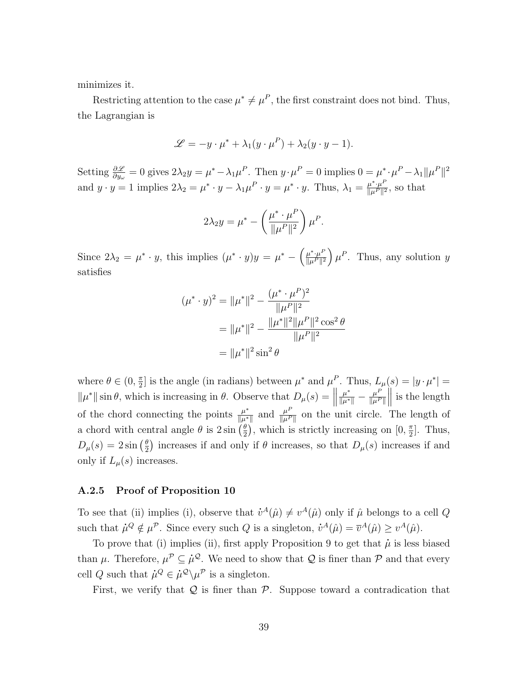minimizes it.

Restricting attention to the case  $\mu^* \neq \mu^P$ , the first constraint does not bind. Thus, the Lagrangian is

$$
\mathcal{L} = -y \cdot \mu^* + \lambda_1 (y \cdot \mu^P) + \lambda_2 (y \cdot y - 1).
$$

Setting  $\frac{\partial \mathscr{L}}{\partial y_{\omega}} = 0$  gives  $2\lambda_2 y = \mu^* - \lambda_1 \mu^P$ . Then  $y \cdot \mu^P = 0$  implies  $0 = \mu^* \cdot \mu^P - \lambda_1 ||\mu^P||^2$ and  $y \cdot y = 1$  implies  $2\lambda_2 = \mu^* \cdot y - \lambda_1 \mu^P \cdot y = \mu^* \cdot y$ . Thus,  $\lambda_1 = \frac{\mu^* \cdot \mu^P}{\|\mu^P\|^2}$  $\frac{\mu^*\cdot\mu^{\mu}}{\|\mu^P\|^2}$ , so that

$$
2\lambda_2 y = \mu^* - \left(\frac{\mu^* \cdot \mu^P}{\|\mu^P\|^2}\right) \mu^P.
$$

Since  $2\lambda_2 = \mu^* \cdot y$ , this implies  $(\mu^* \cdot y)y = \mu^* - \left(\frac{\mu^* \cdot \mu^p}{\|\mu^p\|^2}\right)$  $\frac{\mu^*\cdot\mu^P}{\|\mu^P\|^2}$   $\mu^P$ . Thus, any solution y satisfies

$$
(\mu^* \cdot y)^2 = \|\mu^*\|^2 - \frac{(\mu^* \cdot \mu^P)^2}{\|\mu^P\|^2}
$$

$$
= \|\mu^*\|^2 - \frac{\|\mu^*\|^2 \|\mu^P\|^2 \cos^2 \theta}{\|\mu^P\|^2}
$$

$$
= \|\mu^*\|^2 \sin^2 \theta
$$

where  $\theta \in (0, \frac{\pi}{2})$  $\frac{\pi}{2}$  is the angle (in radians) between  $\mu^*$  and  $\mu^P$ . Thus,  $L_\mu(s) = |y \cdot \mu^*| =$  $\|\mu^*\| \sin \theta$ , which is increasing in  $\theta$ . Observe that  $D_\mu(s) = \left\|\mu^*\right\|$  $\frac{\mu^*}{\|\mu^*\|}-\frac{\mu^P}{\|\mu^P}$  $\|\mu^P\|$  $\parallel$  is the length of the chord connecting the points  $\frac{\mu^*}{\|u\|^*}$  $\frac{\mu^*}{\|\mu^*\|}$  and  $\frac{\mu^P}{\|\mu^P}$  $\frac{\mu}{\|\mu^P\|}$  on the unit circle. The length of a chord with central angle  $\theta$  is  $2 \sin \left( \frac{\theta}{2} \right)$  $\frac{\theta}{2}$ , which is strictly increasing on  $[0, \frac{\pi}{2}]$  $\frac{\pi}{2}$ . Thus,  $D_{\mu}(s) = 2\sin\left(\frac{\theta}{2}\right)$  $\frac{\theta}{2}$ ) increases if and only if  $\theta$  increases, so that  $D_{\mu}(s)$  increases if and only if  $L_{\mu}(s)$  increases.

#### A.2.5 Proof of Proposition 10

To see that (ii) implies (i), observe that  $\dot{v}^A(\hat{\mu}) \neq v^A(\hat{\mu})$  only if  $\hat{\mu}$  belongs to a cell Q such that  $\dot{\mu}^Q \notin \mu^P$ . Since every such Q is a singleton,  $\dot{v}^A(\hat{\mu}) = \overline{v}^A(\hat{\mu}) \geq v^A(\hat{\mu})$ .

To prove that (i) implies (ii), first apply Proposition 9 to get that  $\dot{\mu}$  is less biased than  $\mu$ . Therefore,  $\mu^{\mathcal{P}} \subseteq \mu^{\mathcal{Q}}$ . We need to show that  $\mathcal Q$  is finer than  $\mathcal P$  and that every cell Q such that  $\mu^Q \in \mu^Q \setminus \mu^P$  is a singleton.

First, we verify that  $Q$  is finer than  $P$ . Suppose toward a contradication that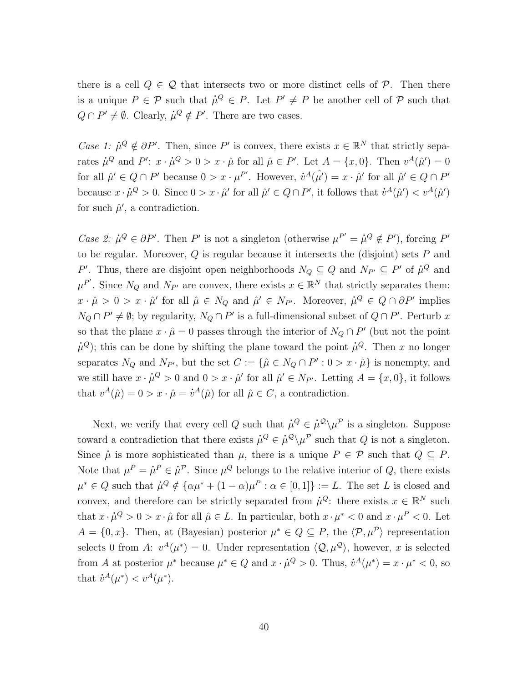there is a cell  $Q \in \mathcal{Q}$  that intersects two or more distinct cells of  $\mathcal{P}$ . Then there is a unique  $P \in \mathcal{P}$  such that  $\mu^Q \in P$ . Let  $P' \neq P$  be another cell of  $\mathcal P$  such that  $Q \cap P' \neq \emptyset$ . Clearly,  $\mu^Q \notin P'$ . There are two cases.

Case 1:  $\mu^Q \notin \partial P'$ . Then, since P' is convex, there exists  $x \in \mathbb{R}^N$  that strictly separates  $\dot{\mu}^Q$  and  $P'$ :  $x \cdot \dot{\mu}^Q > 0 > x \cdot \hat{\mu}$  for all  $\hat{\mu} \in P'$ . Let  $A = \{x, 0\}$ . Then  $v^A(\hat{\mu}') = 0$ for all  $\hat{\mu}' \in Q \cap P'$  because  $0 > x \cdot \mu^{P'}$ . However,  $\dot{v}^A(\hat{\mu}') = x \cdot \hat{\mu}'$  for all  $\hat{\mu}' \in Q \cap P'$ because  $x \cdot \dot{\mu}^Q > 0$ . Since  $0 > x \cdot \hat{\mu}'$  for all  $\hat{\mu}' \in Q \cap P'$ , it follows that  $\dot{v}^A(\hat{\mu}') < v^A(\hat{\mu}')$ for such  $\hat{\mu}'$ , a contradiction.

*Case 2:*  $\mu^Q \in \partial P'$ . Then P' is not a singleton (otherwise  $\mu^{P'} = \mu^Q \notin P'$ ), forcing P' to be regular. Moreover,  $Q$  is regular because it intersects the (disjoint) sets  $P$  and P'. Thus, there are disjoint open neighborhoods  $N_Q \subseteq Q$  and  $N_{P'} \subseteq P'$  of  $\mu^Q$  and  $\mu^{P'}$ . Since  $N_Q$  and  $N_{P'}$  are convex, there exists  $x \in \mathbb{R}^N$  that strictly separates them:  $x \cdot \hat{\mu} > 0 > x \cdot \hat{\mu}'$  for all  $\hat{\mu} \in N_Q$  and  $\hat{\mu}' \in N_{P'}$ . Moreover,  $\hat{\mu}^Q \in Q \cap \partial P'$  implies  $N_Q \cap P' \neq \emptyset$ ; by regularity,  $N_Q \cap P'$  is a full-dimensional subset of  $Q \cap P'$ . Perturb x so that the plane  $x \cdot \hat{\mu} = 0$  passes through the interior of  $N_Q \cap P'$  (but not the point  $\dot{\mu}^Q$ ); this can be done by shifting the plane toward the point  $\dot{\mu}^Q$ . Then x no longer separates  $N_Q$  and  $N_{P'}$ , but the set  $C := {\hat{\mu} \in N_Q \cap P' : 0 > x \cdot \hat{\mu}}$  is nonempty, and we still have  $x \cdot \dot{\mu}^Q > 0$  and  $0 > x \cdot \hat{\mu}'$  for all  $\hat{\mu}' \in N_{P'}$ . Letting  $A = \{x, 0\}$ , it follows that  $v^A(\hat{\mu}) = 0 > x \cdot \hat{\mu} = \dot{v}^A(\hat{\mu})$  for all  $\hat{\mu} \in C$ , a contradiction.

Next, we verify that every cell Q such that  $\dot{\mu}^Q \in \dot{\mu}^Q \backslash \mu^P$  is a singleton. Suppose toward a contradiction that there exists  $\mu^Q \in \mu^Q \setminus \mu^P$  such that Q is not a singleton. Since  $\mu$  is more sophisticated than  $\mu$ , there is a unique  $P \in \mathcal{P}$  such that  $Q \subseteq P$ . Note that  $\mu^P = \mu^P \in \mu^P$ . Since  $\mu^Q$  belongs to the relative interior of Q, there exists  $\mu^* \in Q$  such that  $\mu^Q \notin {\{\alpha\mu^* + (1 - \alpha)\mu^P : \alpha \in [0,1]\}} := L$ . The set L is closed and convex, and therefore can be strictly separated from  $\dot{\mu}^Q$ : there exists  $x \in \mathbb{R}^N$  such that  $x \cdot \hat{\mu}^Q > 0 > x \cdot \hat{\mu}$  for all  $\hat{\mu} \in L$ . In particular, both  $x \cdot \mu^* < 0$  and  $x \cdot \mu^P < 0$ . Let  $A = \{0, x\}$ . Then, at (Bayesian) posterior  $\mu^* \in Q \subseteq P$ , the  $\langle \mathcal{P}, \mu^{\mathcal{P}} \rangle$  representation selects 0 from A:  $v^A(\mu^*) = 0$ . Under representation  $\langle \mathcal{Q}, \mu^{\mathcal{Q}} \rangle$ , however, x is selected from A at posterior  $\mu^*$  because  $\mu^* \in Q$  and  $x \cdot \mu^Q > 0$ . Thus,  $\dot{v}^A(\mu^*) = x \cdot \mu^* < 0$ , so that  $\dot{v}^A(\mu^*) < v^A(\mu^*).$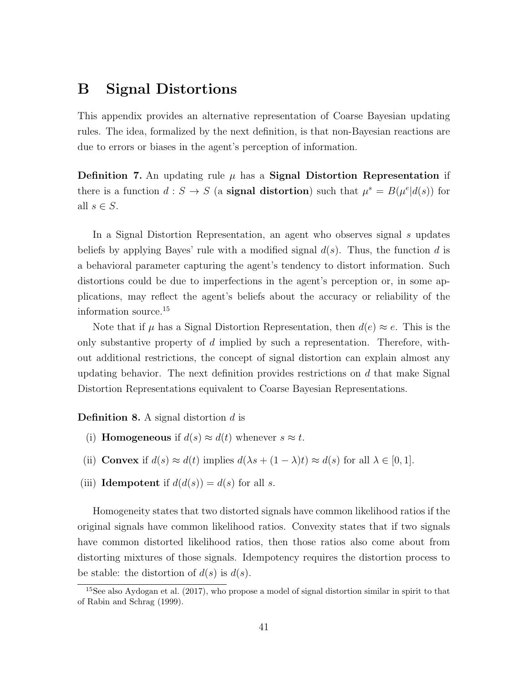## B Signal Distortions

This appendix provides an alternative representation of Coarse Bayesian updating rules. The idea, formalized by the next definition, is that non-Bayesian reactions are due to errors or biases in the agent's perception of information.

**Definition 7.** An updating rule  $\mu$  has a **Signal Distortion Representation** if there is a function  $d : S \to S$  (a **signal distortion**) such that  $\mu^s = B(\mu^e | d(s))$  for all  $s \in S$ .

In a Signal Distortion Representation, an agent who observes signal s updates beliefs by applying Bayes' rule with a modified signal  $d(s)$ . Thus, the function d is a behavioral parameter capturing the agent's tendency to distort information. Such distortions could be due to imperfections in the agent's perception or, in some applications, may reflect the agent's beliefs about the accuracy or reliability of the information source.<sup>15</sup>

Note that if  $\mu$  has a Signal Distortion Representation, then  $d(e) \approx e$ . This is the only substantive property of  $d$  implied by such a representation. Therefore, without additional restrictions, the concept of signal distortion can explain almost any updating behavior. The next definition provides restrictions on  $d$  that make Signal Distortion Representations equivalent to Coarse Bayesian Representations.

**Definition 8.** A signal distortion  $d$  is

- (i) **Homogeneous** if  $d(s) \approx d(t)$  whenever  $s \approx t$ .
- (ii) Convex if  $d(s) \approx d(t)$  implies  $d(\lambda s + (1 \lambda)t) \approx d(s)$  for all  $\lambda \in [0, 1]$ .
- (iii) **Idempotent** if  $d(d(s)) = d(s)$  for all s.

Homogeneity states that two distorted signals have common likelihood ratios if the original signals have common likelihood ratios. Convexity states that if two signals have common distorted likelihood ratios, then those ratios also come about from distorting mixtures of those signals. Idempotency requires the distortion process to be stable: the distortion of  $d(s)$  is  $d(s)$ .

 $15$ See also Aydogan et al. (2017), who propose a model of signal distortion similar in spirit to that of Rabin and Schrag (1999).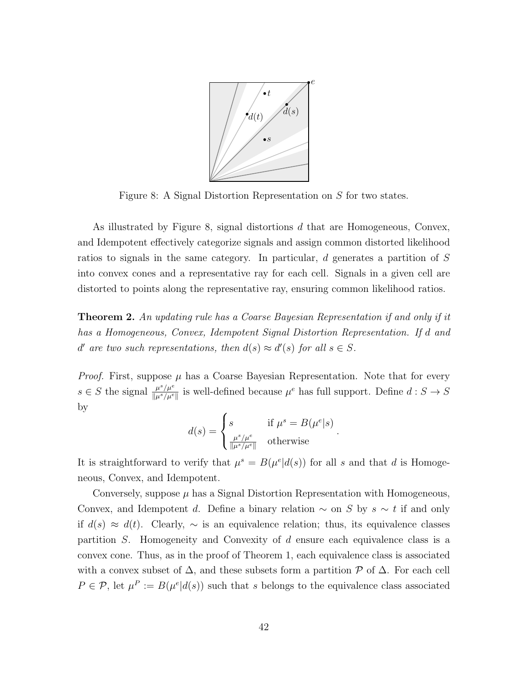

Figure 8: A Signal Distortion Representation on S for two states.

As illustrated by Figure 8, signal distortions d that are Homogeneous, Convex, and Idempotent effectively categorize signals and assign common distorted likelihood ratios to signals in the same category. In particular, d generates a partition of S into convex cones and a representative ray for each cell. Signals in a given cell are distorted to points along the representative ray, ensuring common likelihood ratios.

**Theorem 2.** An updating rule has a Coarse Bayesian Representation if and only if it has a Homogeneous, Convex, Idempotent Signal Distortion Representation. If d and *d*' are two such representations, then  $d(s) \approx d'(s)$  for all  $s \in S$ .

*Proof.* First, suppose  $\mu$  has a Coarse Bayesian Representation. Note that for every  $s \in S$  the signal  $\frac{\mu^s / \mu^e}{\| \mu^s / \mu^e}$  $\frac{\mu^s/\mu^e}{\|\mu^s/\mu^e\|}$  is well-defined because  $\mu^e$  has full support. Define  $d: S \to S$ by

$$
d(s) = \begin{cases} s & \text{if } \mu^s = B(\mu^e|s) \\ \frac{\mu^s / \mu^e}{\|\mu^s / \mu^e\|} & \text{otherwise} \end{cases}.
$$

It is straightforward to verify that  $\mu^s = B(\mu^e | d(s))$  for all s and that d is Homogeneous, Convex, and Idempotent.

Conversely, suppose  $\mu$  has a Signal Distortion Representation with Homogeneous, Convex, and Idempotent d. Define a binary relation  $\sim$  on S by s  $\sim t$  if and only if  $d(s) \approx d(t)$ . Clearly,  $\sim$  is an equivalence relation; thus, its equivalence classes partition S. Homogeneity and Convexity of d ensure each equivalence class is a convex cone. Thus, as in the proof of Theorem 1, each equivalence class is associated with a convex subset of  $\Delta$ , and these subsets form a partition  $\mathcal P$  of  $\Delta$ . For each cell  $P \in \mathcal{P}$ , let  $\mu^P := B(\mu^e | d(s))$  such that s belongs to the equivalence class associated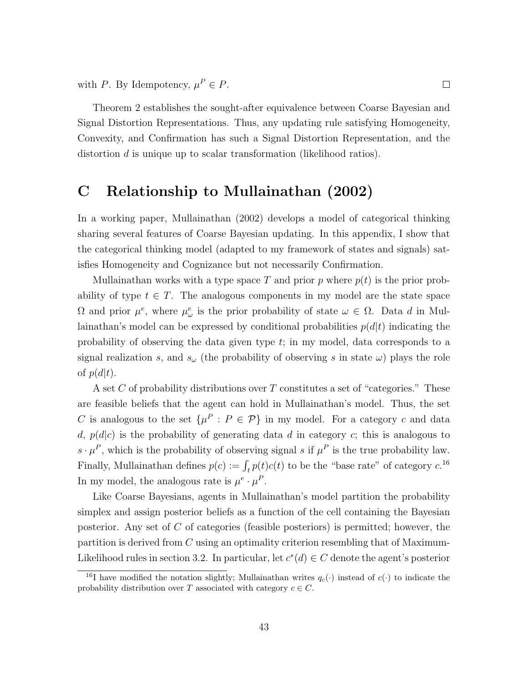with P. By Idempotency,  $\mu^P \in P$ .

Theorem 2 establishes the sought-after equivalence between Coarse Bayesian and Signal Distortion Representations. Thus, any updating rule satisfying Homogeneity, Convexity, and Confirmation has such a Signal Distortion Representation, and the distortion d is unique up to scalar transformation (likelihood ratios).

 $\Box$ 

## C Relationship to Mullainathan (2002)

In a working paper, Mullainathan (2002) develops a model of categorical thinking sharing several features of Coarse Bayesian updating. In this appendix, I show that the categorical thinking model (adapted to my framework of states and signals) satisfies Homogeneity and Cognizance but not necessarily Confirmation.

Mullainathan works with a type space T and prior p where  $p(t)$  is the prior probability of type  $t \in T$ . The analogous components in my model are the state space  $\Omega$  and prior  $\mu^{e}$ , where  $\mu^{e}_{\omega}$  is the prior probability of state  $\omega \in \Omega$ . Data d in Mullainathan's model can be expressed by conditional probabilities  $p(d|t)$  indicating the probability of observing the data given type t; in my model, data corresponds to a signal realization s, and  $s_{\omega}$  (the probability of observing s in state  $\omega$ ) plays the role of  $p(d|t)$ .

A set C of probability distributions over T constitutes a set of "categories." These are feasible beliefs that the agent can hold in Mullainathan's model. Thus, the set C is analogous to the set  $\{\mu^P : P \in \mathcal{P}\}\$ in my model. For a category c and data d,  $p(d|c)$  is the probability of generating data d in category c; this is analogous to  $s \cdot \mu^P$ , which is the probability of observing signal s if  $\mu^P$  is the true probability law. Finally, Mullainathan defines  $p(c) := \int_t p(t)c(t)$  to be the "base rate" of category  $c$ .<sup>16</sup> In my model, the analogous rate is  $\mu^e \cdot \mu^P$ .

Like Coarse Bayesians, agents in Mullainathan's model partition the probability simplex and assign posterior beliefs as a function of the cell containing the Bayesian posterior. Any set of  $C$  of categories (feasible posteriors) is permitted; however, the partition is derived from C using an optimality criterion resembling that of Maximum-Likelihood rules in section 3.2. In particular, let  $c^*(d) \in C$  denote the agent's posterior

<sup>&</sup>lt;sup>16</sup>I have modified the notation slightly; Mullainathan writes  $q_c(\cdot)$  instead of  $c(\cdot)$  to indicate the probability distribution over T associated with category  $c \in C$ .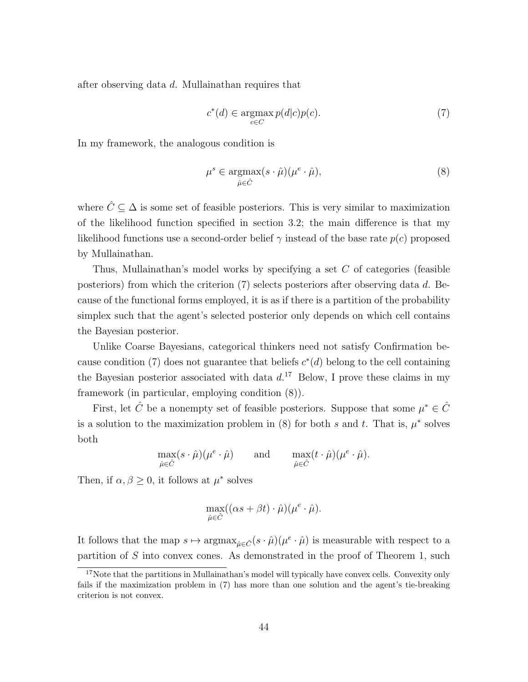after observing data d. Mullainathan requires that

$$
c^*(d) \in \operatorname*{argmax}_{c \in C} p(d|c)p(c). \tag{7}
$$

In my framework, the analogous condition is

$$
\mu^s \in \underset{\hat{\mu} \in \hat{C}}{\operatorname{argmax}} (s \cdot \hat{\mu}) (\mu^e \cdot \hat{\mu}), \tag{8}
$$

where  $\hat{C} \subseteq \Delta$  is some set of feasible posteriors. This is very similar to maximization of the likelihood function specified in section 3.2; the main difference is that my likelihood functions use a second-order belief  $\gamma$  instead of the base rate  $p(c)$  proposed by Mullainathan.

Thus, Mullainathan's model works by specifying a set  $C$  of categories (feasible posteriors) from which the criterion (7) selects posteriors after observing data d. Because of the functional forms employed, it is as if there is a partition of the probability simplex such that the agent's selected posterior only depends on which cell contains the Bayesian posterior.

Unlike Coarse Bayesians, categorical thinkers need not satisfy Confirmation because condition (7) does not guarantee that beliefs  $c^*(d)$  belong to the cell containing the Bayesian posterior associated with data  $d<sup>17</sup>$  Below, I prove these claims in my framework (in particular, employing condition (8)).

First, let  $\hat{C}$  be a nonempty set of feasible posteriors. Suppose that some  $\mu^* \in \hat{C}$ is a solution to the maximization problem in (8) for both s and t. That is,  $\mu^*$  solves both

$$
\max_{\hat{\mu}\in\hat{C}}(s\cdot\hat{\mu})(\mu^e\cdot\hat{\mu})\qquad\text{and}\qquad \max_{\hat{\mu}\in\hat{C}}(t\cdot\hat{\mu})(\mu^e\cdot\hat{\mu}).
$$

Then, if  $\alpha, \beta \geq 0$ , it follows at  $\mu^*$  solves

$$
\max_{\hat{\mu}\in\hat{C}}((\alpha s+\beta t)\cdot\hat{\mu})(\mu^e\cdot\hat{\mu}).
$$

It follows that the map  $s \mapsto \operatorname{argmax}_{\hat{\mu} \in \hat{C}}(s \cdot \hat{\mu})(\mu^e \cdot \hat{\mu})$  is measurable with respect to a partition of  $S$  into convex cones. As demonstrated in the proof of Theorem 1, such

<sup>&</sup>lt;sup>17</sup>Note that the partitions in Mullainathan's model will typically have convex cells. Convexity only fails if the maximization problem in (7) has more than one solution and the agent's tie-breaking criterion is not convex.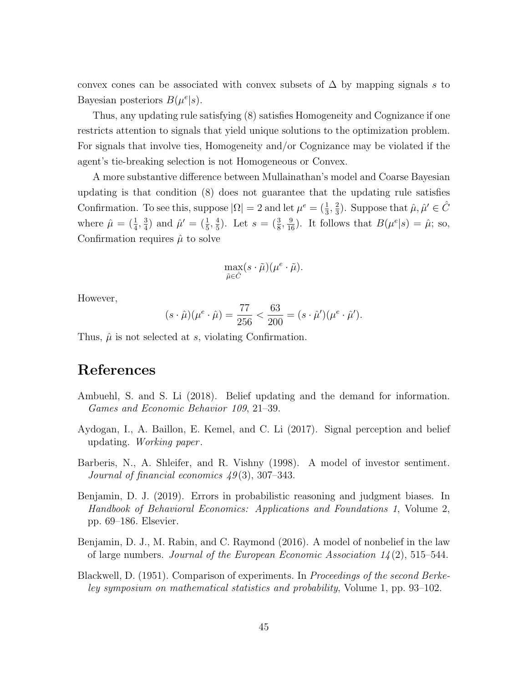convex cones can be associated with convex subsets of  $\Delta$  by mapping signals s to Bayesian posteriors  $B(\mu^{e}|s)$ .

Thus, any updating rule satisfying (8) satisfies Homogeneity and Cognizance if one restricts attention to signals that yield unique solutions to the optimization problem. For signals that involve ties, Homogeneity and/or Cognizance may be violated if the agent's tie-breaking selection is not Homogeneous or Convex.

A more substantive difference between Mullainathan's model and Coarse Bayesian updating is that condition (8) does not guarantee that the updating rule satisfies Confirmation. To see this, suppose  $|\Omega| = 2$  and let  $\mu^e = (\frac{1}{3}, \frac{2}{3})$  $(\frac{2}{3})$ . Suppose that  $\hat{\mu}, \hat{\mu}' \in \hat{C}$ where  $\hat{\mu} = (\frac{1}{4}, \frac{3}{4})$  $\frac{3}{4}$ ) and  $\hat{\mu}' = (\frac{1}{5}, \frac{4}{5})$  $(\frac{4}{5})$ . Let  $s = (\frac{3}{8}, \frac{9}{16})$ . It follows that  $B(\mu^{e}|s) = \hat{\mu}$ ; so, Confirmation requires  $\hat{\mu}$  to solve

$$
\max_{\tilde{\mu}\in\hat{C}}(s\cdot\tilde{\mu})(\mu^e\cdot\tilde{\mu}).
$$

However,

$$
(s \cdot \hat{\mu})(\mu^e \cdot \hat{\mu}) = \frac{77}{256} < \frac{63}{200} = (s \cdot \hat{\mu}^\prime)(\mu^e \cdot \hat{\mu}^\prime).
$$

Thus,  $\hat{\mu}$  is not selected at s, violating Confirmation.

## References

- Ambuehl, S. and S. Li (2018). Belief updating and the demand for information. Games and Economic Behavior 109, 21–39.
- Aydogan, I., A. Baillon, E. Kemel, and C. Li (2017). Signal perception and belief updating. Working paper .
- Barberis, N., A. Shleifer, and R. Vishny (1998). A model of investor sentiment. Journal of financial economics  $49(3)$ , 307–343.
- Benjamin, D. J. (2019). Errors in probabilistic reasoning and judgment biases. In Handbook of Behavioral Economics: Applications and Foundations 1, Volume 2, pp. 69–186. Elsevier.
- Benjamin, D. J., M. Rabin, and C. Raymond (2016). A model of nonbelief in the law of large numbers. Journal of the European Economic Association  $14(2)$ , 515–544.
- Blackwell, D. (1951). Comparison of experiments. In *Proceedings of the second Berke*ley symposium on mathematical statistics and probability, Volume 1, pp. 93–102.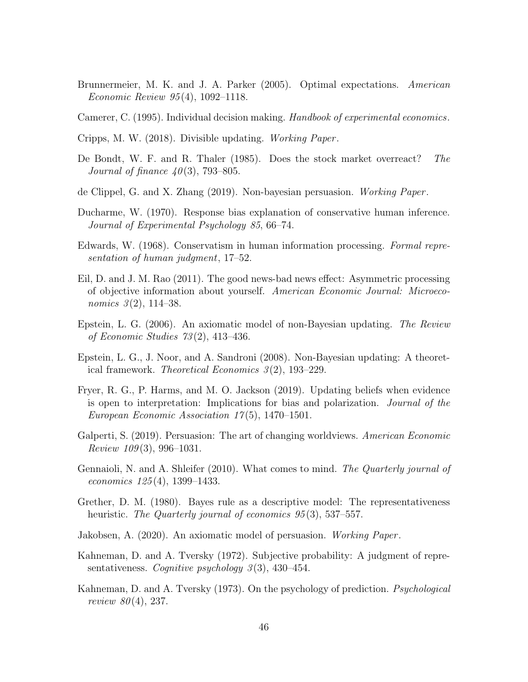- Brunnermeier, M. K. and J. A. Parker (2005). Optimal expectations. American Economic Review 95 (4), 1092–1118.
- Camerer, C. (1995). Individual decision making. Handbook of experimental economics.
- Cripps, M. W. (2018). Divisible updating. Working Paper .
- De Bondt, W. F. and R. Thaler (1985). Does the stock market overreact? The Journal of finance  $40(3)$ , 793–805.
- de Clippel, G. and X. Zhang (2019). Non-bayesian persuasion. Working Paper.
- Ducharme, W. (1970). Response bias explanation of conservative human inference. Journal of Experimental Psychology 85, 66–74.
- Edwards, W. (1968). Conservatism in human information processing. Formal representation of human judgment, 17–52.
- Eil, D. and J. M. Rao (2011). The good news-bad news effect: Asymmetric processing of objective information about yourself. American Economic Journal: Microeconomics  $3(2)$ , 114–38.
- Epstein, L. G. (2006). An axiomatic model of non-Bayesian updating. The Review of Economic Studies 73 (2), 413–436.
- Epstein, L. G., J. Noor, and A. Sandroni (2008). Non-Bayesian updating: A theoretical framework. Theoretical Economics 3 (2), 193–229.
- Fryer, R. G., P. Harms, and M. O. Jackson (2019). Updating beliefs when evidence is open to interpretation: Implications for bias and polarization. Journal of the European Economic Association 17 (5), 1470–1501.
- Galperti, S. (2019). Persuasion: The art of changing worldviews. American Economic Review  $109(3)$ , 996-1031.
- Gennaioli, N. and A. Shleifer (2010). What comes to mind. The Quarterly journal of economics 125 (4), 1399–1433.
- Grether, D. M. (1980). Bayes rule as a descriptive model: The representativeness heuristic. The Quarterly journal of economics 95(3), 537–557.
- Jakobsen, A. (2020). An axiomatic model of persuasion. Working Paper .
- Kahneman, D. and A. Tversky (1972). Subjective probability: A judgment of representativeness. Cognitive psychology  $3(3)$ , 430–454.
- Kahneman, D. and A. Tversky (1973). On the psychology of prediction. *Psychological review 80*(4), 237.